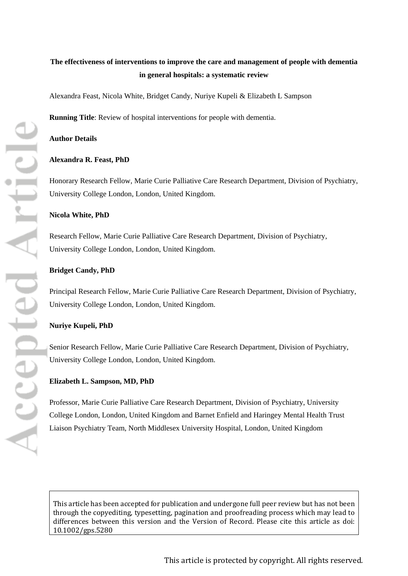# **The effectiveness of interventions to improve the care and management of people with dementia in general hospitals: a systematic review**

Alexandra Feast, Nicola White, Bridget Candy, Nuriye Kupeli & Elizabeth L Sampson

**Running Title**: Review of hospital interventions for people with dementia.

#### **Author Details**

#### **Alexandra R. Feast, PhD**

Honorary Research Fellow, Marie Curie Palliative Care Research Department, Division of Psychiatry, University College London, London, United Kingdom.

#### **Nicola White, PhD**

Research Fellow, Marie Curie Palliative Care Research Department, Division of Psychiatry, University College London, London, United Kingdom.

#### **Bridget Candy, PhD**

Principal Research Fellow, Marie Curie Palliative Care Research Department, Division of Psychiatry, University College London, London, United Kingdom.

### **Nuriye Kupeli, PhD**

Senior Research Fellow, Marie Curie Palliative Care Research Department, Division of Psychiatry, University College London, London, United Kingdom.

#### **Elizabeth L. Sampson, MD, PhD**

Professor, Marie Curie Palliative Care Research Department, Division of Psychiatry, University College London, London, United Kingdom and Barnet Enfield and Haringey Mental Health Trust Liaison Psychiatry Team, North Middlesex University Hospital, London, United Kingdom

[This article has been accepted for publication and undergone full peer review but has not been](http://dx.doi.org/10.1002/gps.5280)  [through the copyediting, typesetting, pagination and proofreading process which may lead to](http://dx.doi.org/10.1002/gps.5280)  [differences between this version and the Version of Record. Please cite this article as doi:](http://dx.doi.org/10.1002/gps.5280)  [10.1002/gps.5280](http://dx.doi.org/10.1002/gps.5280)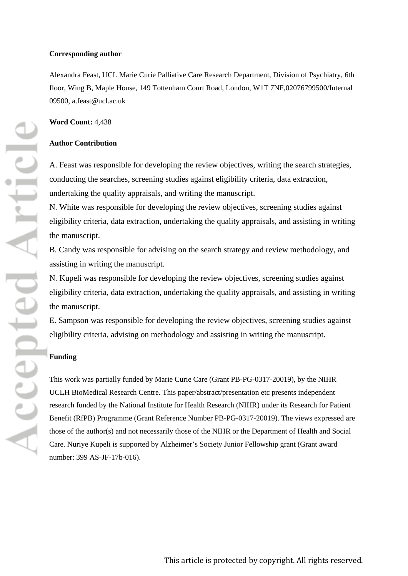#### **Corresponding author**

Alexandra Feast, UCL Marie Curie Palliative Care Research Department, Division of Psychiatry, 6th floor, Wing B, Maple House, 149 Tottenham Court Road, London, W1T 7NF,02076799500/Internal 09500, a.feast@ucl.ac.uk

### **Word Count:** 4,438

### **Author Contribution**

A. Feast was responsible for developing the review objectives, writing the search strategies, conducting the searches, screening studies against eligibility criteria, data extraction, undertaking the quality appraisals, and writing the manuscript.

N. White was responsible for developing the review objectives, screening studies against eligibility criteria, data extraction, undertaking the quality appraisals, and assisting in writing the manuscript.

B. Candy was responsible for advising on the search strategy and review methodology, and assisting in writing the manuscript.

N. Kupeli was responsible for developing the review objectives, screening studies against eligibility criteria, data extraction, undertaking the quality appraisals, and assisting in writing the manuscript.

E. Sampson was responsible for developing the review objectives, screening studies against eligibility criteria, advising on methodology and assisting in writing the manuscript.

# **Funding**

This work was partially funded by Marie Curie Care (Grant PB-PG-0317-20019), by the NIHR UCLH BioMedical Research Centre. This paper/abstract/presentation etc presents independent research funded by the National Institute for Health Research (NIHR) under its Research for Patient Benefit (RfPB) Programme (Grant Reference Number PB-PG-0317-20019). The views expressed are those of the author(s) and not necessarily those of the NIHR or the Department of Health and Social Care. Nuriye Kupeli is supported by Alzheimer's Society Junior Fellowship grant (Grant award number: 399 AS-JF-17b-016).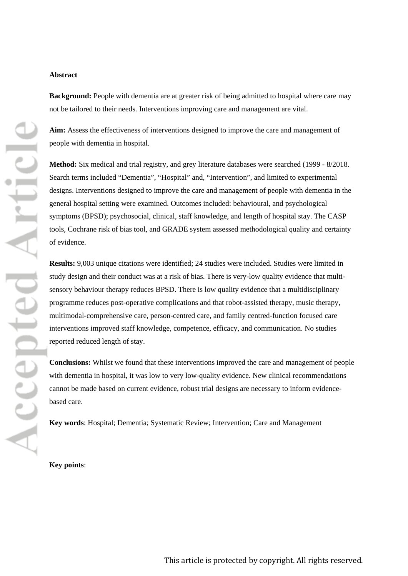#### **Abstract**

**Background:** People with dementia are at greater risk of being admitted to hospital where care may not be tailored to their needs. Interventions improving care and management are vital.

**Aim:** Assess the effectiveness of interventions designed to improve the care and management of people with dementia in hospital.

**Method:** Six medical and trial registry, and grey literature databases were searched (1999 - 8/2018. Search terms included "Dementia", "Hospital" and, "Intervention", and limited to experimental designs. Interventions designed to improve the care and management of people with dementia in the general hospital setting were examined. Outcomes included: behavioural, and psychological symptoms (BPSD); psychosocial, clinical, staff knowledge, and length of hospital stay. The CASP tools, Cochrane risk of bias tool, and GRADE system assessed methodological quality and certainty of evidence.

**Results:** 9,003 unique citations were identified; 24 studies were included. Studies were limited in study design and their conduct was at a risk of bias. There is very-low quality evidence that multisensory behaviour therapy reduces BPSD. There is low quality evidence that a multidisciplinary programme reduces post-operative complications and that robot-assisted therapy, music therapy, multimodal-comprehensive care, person-centred care, and family centred-function focused care interventions improved staff knowledge, competence, efficacy, and communication. No studies reported reduced length of stay.

**Conclusions:** Whilst we found that these interventions improved the care and management of people with dementia in hospital, it was low to very low-quality evidence. New clinical recommendations cannot be made based on current evidence, robust trial designs are necessary to inform evidencebased care.

**Key words**: Hospital; Dementia; Systematic Review; Intervention; Care and Management

**Key points**: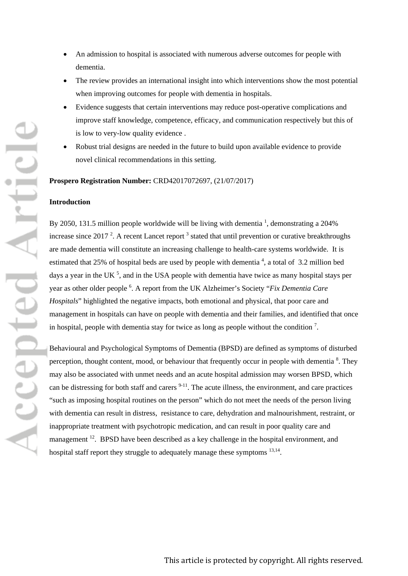- An admission to hospital is associated with numerous adverse outcomes for people with dementia.
- The review provides an international insight into which interventions show the most potential when improving outcomes for people with dementia in hospitals.
- Evidence suggests that certain interventions may reduce post-operative complications and improve staff knowledge, competence, efficacy, and communication respectively but this of is low to very-low quality evidence .
- Robust trial designs are needed in the future to build upon available evidence to provide novel clinical recommendations in this setting.

**Prospero Registration Number:** CRD42017072697, (21/07/2017)

#### **Introduction**

By 2050, 131.5 million people worldwide will be living with dementia  $\frac{1}{1}$ , demonstrating a 204% increase since 2017<sup>2</sup>. A recent Lancet report<sup>3</sup> stated that until prevention or curative breakthroughs are made dementia will constitute an increasing challenge to health-care systems worldwide. It is estimated that 25% of hospital beds are used by people with dementia  $4$ , a total of 3.2 million bed days a year in the UK<sup>5</sup>, and in the USA people with dementia have twice as many hospital stays per year as other older people 6 . A report from the UK Alzheimer's Society "*Fix Dementia Care Hospitals*" highlighted the negative impacts, both emotional and physical, that poor care and management in hospitals can have on people with dementia and their families, and identified that once in hospital, people with dementia stay for twice as long as people without the condition<sup>7</sup>.

Behavioural and Psychological Symptoms of Dementia (BPSD) are defined as symptoms of disturbed perception, thought content, mood, or behaviour that frequently occur in people with dementia<sup>8</sup>. They may also be associated with unmet needs and an acute hospital admission may worsen BPSD, which can be distressing for both staff and carers  $9-11$ . The acute illness, the environment, and care practices "such as imposing hospital routines on the person" which do not meet the needs of the person living with dementia can result in distress, resistance to care, dehydration and malnourishment, restraint, or inappropriate treatment with psychotropic medication, and can result in poor quality care and management <sup>12</sup>. BPSD have been described as a key challenge in the hospital environment, and hospital staff report they struggle to adequately manage these symptoms <sup>13,14</sup>.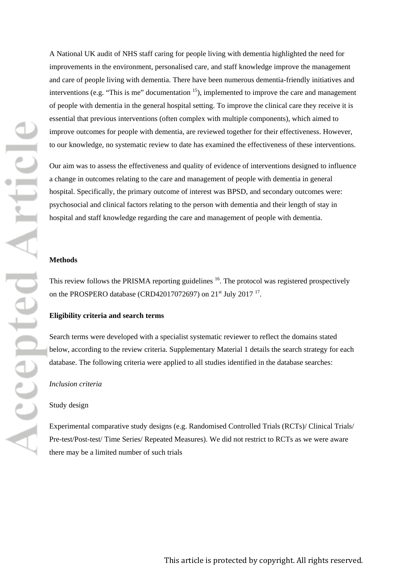A National UK audit of NHS staff caring for people living with dementia highlighted the need for improvements in the environment, personalised care, and staff knowledge improve the management and care of people living with dementia. There have been numerous dementia-friendly initiatives and interventions (e.g. "This is me" documentation  $15$ ), implemented to improve the care and management of people with dementia in the general hospital setting. To improve the clinical care they receive it is essential that previous interventions (often complex with multiple components), which aimed to improve outcomes for people with dementia, are reviewed together for their effectiveness. However, to our knowledge, no systematic review to date has examined the effectiveness of these interventions.

Our aim was to assess the effectiveness and quality of evidence of interventions designed to influence a change in outcomes relating to the care and management of people with dementia in general hospital. Specifically, the primary outcome of interest was BPSD, and secondary outcomes were: psychosocial and clinical factors relating to the person with dementia and their length of stay in hospital and staff knowledge regarding the care and management of people with dementia.

### **Methods**

This review follows the PRISMA reporting guidelines  $16$ . The protocol was registered prospectively on the PROSPERO database (CRD42017072697) on 21<sup>st</sup> July 2017<sup>17</sup>.

### **Eligibility criteria and search terms**

Search terms were developed with a specialist systematic reviewer to reflect the domains stated below, according to the review criteria. [Supplementary Material 1](#page-22-0) details the search strategy for each database. The following criteria were applied to all studies identified in the database searches:

#### *Inclusion criteria*

### Study design

Experimental comparative study designs (e.g. Randomised Controlled Trials (RCTs)/ Clinical Trials/ Pre-test/Post-test/ Time Series/ Repeated Measures). We did not restrict to RCTs as we were aware there may be a limited number of such trials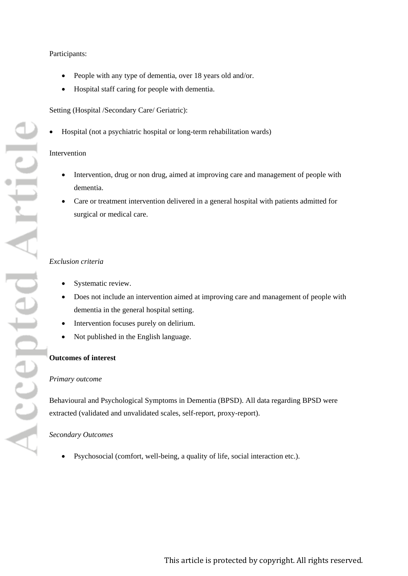### Participants:

- People with any type of dementia, over 18 years old and/or.
- Hospital staff caring for people with dementia.

### Setting (Hospital /Secondary Care/ Geriatric):

• Hospital (not a psychiatric hospital or long-term rehabilitation wards)

### Intervention

- Intervention, drug or non drug, aimed at improving care and management of people with dementia.
- Care or treatment intervention delivered in a general hospital with patients admitted for surgical or medical care.

### *Exclusion criteria*

- Systematic review.
- Does not include an intervention aimed at improving care and management of people with dementia in the general hospital setting.
- Intervention focuses purely on delirium.
- Not published in the English language.

## **Outcomes of interest**

### *Primary outcome*

Behavioural and Psychological Symptoms in Dementia (BPSD). All data regarding BPSD were extracted (validated and unvalidated scales, self-report, proxy-report).

### *Secondary Outcomes*

• Psychosocial (comfort, well-being, a quality of life, social interaction etc.).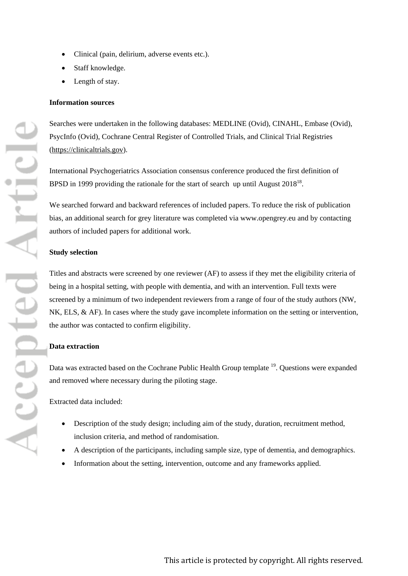- Clinical (pain, delirium, adverse events etc.).
- Staff knowledge.
- Length of stay.

### **Information sources**

Searches were undertaken in the following databases: MEDLINE (Ovid), CINAHL, Embase (Ovid), PsycInfo (Ovid), Cochrane Central Register of Controlled Trials, and Clinical Trial Registries [\(https://clinicaltrials.gov\)](https://clinicaltrials.gov/).

International Psychogeriatrics Association consensus conference produced the first definition of BPSD in 1999 providing the rationale for the start of search up until August 2018<sup>18</sup>.

We searched forward and backward references of included papers. To reduce the risk of publication bias, an additional search for grey literature was completed via [www.opengrey.eu](http://www.opengrey.eu/) and by contacting authors of included papers for additional work.

#### **Study selection**

Titles and abstracts were screened by one reviewer (AF) to assess if they met the eligibility criteria of being in a hospital setting, with people with dementia, and with an intervention. Full texts were screened by a minimum of two independent reviewers from a range of four of the study authors (NW, NK, ELS, & AF). In cases where the study gave incomplete information on the setting or intervention, the author was contacted to confirm eligibility.

#### **Data extraction**

Data was extracted based on the Cochrane Public Health Group template <sup>19</sup>. Questions were expanded and removed where necessary during the piloting stage.

Extracted data included:

- Description of the study design; including aim of the study, duration, recruitment method, inclusion criteria, and method of randomisation.
- A description of the participants, including sample size, type of dementia, and demographics.
- Information about the setting, intervention, outcome and any frameworks applied.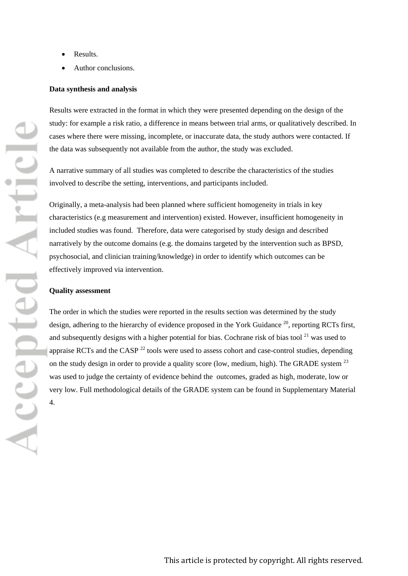- Results.
- Author conclusions.

### **Data synthesis and analysis**

Results were extracted in the format in which they were presented depending on the design of the study: for example a risk ratio, a difference in means between trial arms, or qualitatively described. In cases where there were missing, incomplete, or inaccurate data, the study authors were contacted. If the data was subsequently not available from the author, the study was excluded.

A narrative summary of all studies was completed to describe the characteristics of the studies involved to describe the setting, interventions, and participants included.

Originally, a meta-analysis had been planned where sufficient homogeneity in trials in key characteristics (e.g measurement and intervention) existed. However, insufficient homogeneity in included studies was found. Therefore, data were categorised by study design and described narratively by the outcome domains (e.g. the domains targeted by the intervention such as BPSD, psychosocial, and clinician training/knowledge) in order to identify which outcomes can be effectively improved via intervention.

### **Quality assessment**

The order in which the studies were reported in the results section was determined by the study design, adhering to the hierarchy of evidence proposed in the York Guidance <sup>20</sup>, reporting RCTs first, and subsequently designs with a higher potential for bias. Cochrane risk of bias tool<sup>21</sup> was used to appraise RCTs and the CASP  $^{22}$  tools were used to assess cohort and case-control studies, depending on the study design in order to provide a quality score (low, medium, high). The GRADE system <sup>23</sup> was used to judge the certainty of evidence behind the outcomes, graded as high, moderate, low or very low. Full methodological details of the GRADE system can be found in [Supplementary Material](#page-22-1)  4.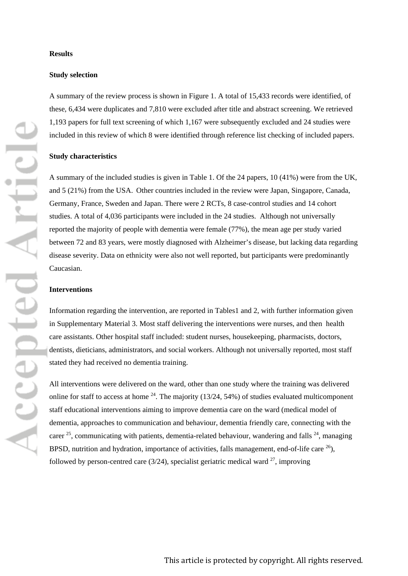#### **Study selection**

A summary of the review process is shown in Figure 1. A total of 15,433 records were identified, of these, 6,434 were duplicates and 7,810 were excluded after title and abstract screening. We retrieved 1,193 papers for full text screening of which 1,167 were subsequently excluded and 24 studies were included in this review of which 8 were identified through reference list checking of included papers.

### **Study characteristics**

A summary of the included studies is given in [Table 1.](#page-23-0) Of the 24 papers, 10 (41%) were from the UK, and 5 (21%) from the USA. Other countries included in the review were Japan, Singapore, Canada, Germany, France, Sweden and Japan. There were 2 RCTs, 8 case-control studies and 14 cohort studies. A total of 4,036 participants were included in the 24 studies. Although not universally reported the majority of people with dementia were female (77%), the mean age per study varied between 72 and 83 years, were mostly diagnosed with Alzheimer's disease, but lacking data regarding disease severity. Data on ethnicity were also not well reported, but participants were predominantly Caucasian.

### **Interventions**

Information regarding the intervention, are reported in [Tables1](#page-23-0) and 2, with further information given in Supplementary Material 3. Most staff delivering the interventions were nurses, and then health care assistants. Other hospital staff included: student nurses, housekeeping, pharmacists, doctors, dentists, dieticians, administrators, and social workers. Although not universally reported, most staff stated they had received no dementia training.

All interventions were delivered on the ward, other than one study where the training was delivered online for staff to access at home  $^{24}$ . The majority (13/24, 54%) of studies evaluated multicomponent staff educational interventions aiming to improve dementia care on the ward (medical model of dementia, approaches to communication and behaviour, dementia friendly care, connecting with the carer  $^{25}$ , communicating with patients, dementia-related behaviour, wandering and falls  $^{24}$ , managing BPSD, nutrition and hydration, importance of activities, falls management, end-of-life care  $^{26}$ ), followed by person-centred care  $(3/24)$ , specialist geriatric medical ward  $2^7$ , improving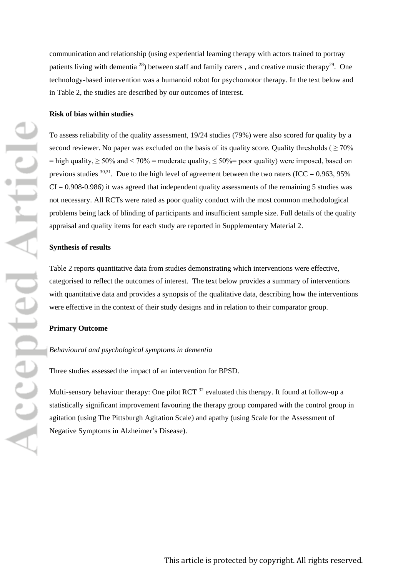communication and relationship (using experiential learning therapy with actors trained to portray patients living with dementia  $^{28}$ ) between staff and family carers, and creative music therapy<sup>29</sup>. One technology-based intervention was a humanoid robot for psychomotor therapy. In the text below and in [Table 2,](#page-52-0) the studies are described by our outcomes of interest.

### **Risk of bias within studies**

To assess reliability of the quality assessment, 19/24 studies (79%) were also scored for quality by a second reviewer. No paper was excluded on the basis of its quality score. Quality thresholds ( $>70\%$ )  $=$  high quality,  $\geq$  50% and  $\lt$  70% = moderate quality,  $\leq$  50% = poor quality) were imposed, based on previous studies  $30,31$ . Due to the high level of agreement between the two raters (ICC = 0.963, 95%)  $CI = 0.908 - 0.986$ ) it was agreed that independent quality assessments of the remaining 5 studies was not necessary. All RCTs were rated as poor quality conduct with the most common methodological problems being lack of blinding of participants and insufficient sample size. Full details of the quality appraisal and quality items for each study are reported in [Supplementary Material 2.](#page-22-1)

#### **Synthesis of results**

Table 2 reports quantitative data from studies demonstrating which interventions were effective, categorised to reflect the outcomes of interest. The text below provides a summary of interventions with quantitative data and provides a synopsis of the qualitative data, describing how the interventions were effective in the context of their study designs and in relation to their comparator group.

#### **Primary Outcome**

### *Behavioural and psychological symptoms in dementia*

Three studies assessed the impact of an intervention for BPSD.

Multi-sensory behaviour therapy: One pilot  $RCT<sup>32</sup>$  evaluated this therapy. It found at follow-up a statistically significant improvement favouring the therapy group compared with the control group in agitation (using The Pittsburgh Agitation Scale) and apathy (using Scale for the Assessment of Negative Symptoms in Alzheimer's Disease).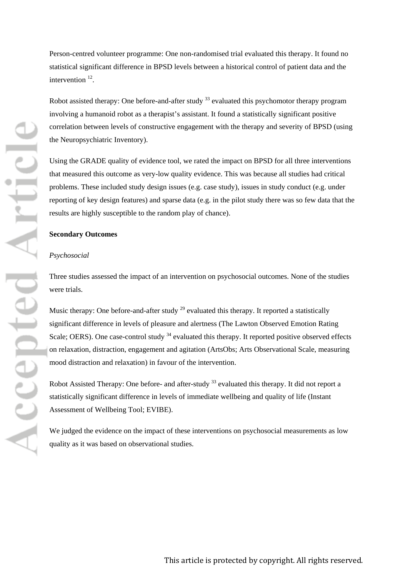Person-centred volunteer programme: One non-randomised trial evaluated this therapy. It found no statistical significant difference in BPSD levels between a historical control of patient data and the intervention <sup>12</sup>.

Robot assisted therapy: One before-and-after study <sup>33</sup> evaluated this psychomotor therapy program involving a humanoid robot as a therapist's assistant. It found a statistically significant positive correlation between levels of constructive engagement with the therapy and severity of BPSD (using the Neuropsychiatric Inventory).

Using the GRADE quality of evidence tool, we rated the impact on BPSD for all three interventions that measured this outcome as very-low quality evidence. This was because all studies had critical problems. These included study design issues (e.g. case study), issues in study conduct (e.g. under reporting of key design features) and sparse data (e.g. in the pilot study there was so few data that the results are highly susceptible to the random play of chance).

#### **Secondary Outcomes**

#### *Psychosocial*

Three studies assessed the impact of an intervention on psychosocial outcomes. None of the studies were trials.

Music therapy: One before-and-after study  $^{29}$  evaluated this therapy. It reported a statistically significant difference in levels of pleasure and alertness (The Lawton Observed Emotion Rating Scale; OERS). One case-control study <sup>34</sup> evaluated this therapy. It reported positive observed effects on relaxation, distraction, engagement and agitation (ArtsObs; Arts Observational Scale, measuring mood distraction and relaxation) in favour of the intervention.

Robot Assisted Therapy: One before- and after-study <sup>33</sup> evaluated this therapy. It did not report a statistically significant difference in levels of immediate wellbeing and quality of life (Instant Assessment of Wellbeing Tool; EVIBE).

We judged the evidence on the impact of these interventions on psychosocial measurements as low quality as it was based on observational studies.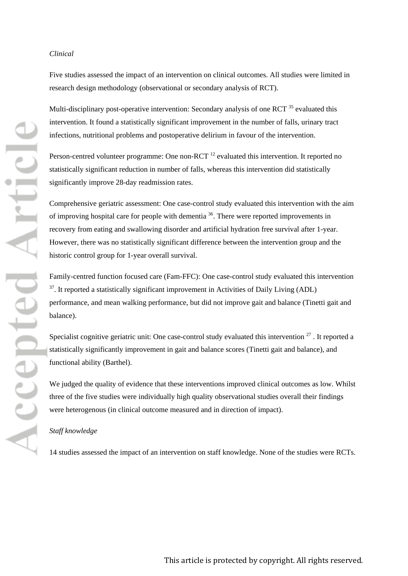#### *Clinical*

Five studies assessed the impact of an intervention on clinical outcomes. All studies were limited in research design methodology (observational or secondary analysis of RCT).

Multi-disciplinary post-operative intervention: Secondary analysis of one RCT<sup>35</sup> evaluated this intervention. It found a statistically significant improvement in the number of falls, urinary tract infections, nutritional problems and postoperative delirium in favour of the intervention.

Person-centred volunteer programme: One non-RCT<sup>12</sup> evaluated this intervention. It reported no statistically significant reduction in number of falls, whereas this intervention did statistically significantly improve 28-day readmission rates.

Comprehensive geriatric assessment: One case-control study evaluated this intervention with the aim of improving hospital care for people with dementia 36. There were reported improvements in recovery from eating and swallowing disorder and artificial hydration free survival after 1-year. However, there was no statistically significant difference between the intervention group and the historic control group for 1-year overall survival.

Family-centred function focused care (Fam-FFC): One case-control study evaluated this intervention  $37$ . It reported a statistically significant improvement in Activities of Daily Living (ADL) performance, and mean walking performance, but did not improve gait and balance (Tinetti gait and balance).

Specialist cognitive geriatric unit: One case-control study evaluated this intervention  $27$ . It reported a statistically significantly improvement in gait and balance scores (Tinetti gait and balance), and functional ability (Barthel).

We judged the quality of evidence that these interventions improved clinical outcomes as low. Whilst three of the five studies were individually high quality observational studies overall their findings were heterogenous (in clinical outcome measured and in direction of impact).

### *Staff knowledge*

14 studies assessed the impact of an intervention on staff knowledge. None of the studies were RCTs.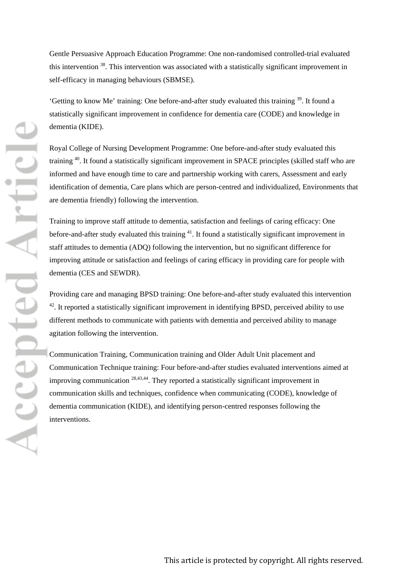Gentle Persuasive Approach Education Programme: One non-randomised controlled-trial evaluated this intervention 38. This intervention was associated with a statistically significant improvement in self-efficacy in managing behaviours (SBMSE).

'Getting to know Me' training: One before-and-after study evaluated this training 39. It found a statistically significant improvement in confidence for dementia care (CODE) and knowledge in dementia (KIDE).

Royal College of Nursing Development Programme: One before-and-after study evaluated this training 40. It found a statistically significant improvement in SPACE principles (skilled staff who are informed and have enough time to care and partnership working with carers, Assessment and early identification of dementia, Care plans which are person-centred and individualized, Environments that are dementia friendly) following the intervention.

Training to improve staff attitude to dementia, satisfaction and feelings of caring efficacy: One before-and-after study evaluated this training <sup>41</sup>. It found a statistically significant improvement in staff attitudes to dementia (ADQ) following the intervention, but no significant difference for improving attitude or satisfaction and feelings of caring efficacy in providing care for people with dementia (CES and SEWDR).

Providing care and managing BPSD training: One before-and-after study evaluated this intervention <sup>42</sup>. It reported a statistically significant improvement in identifying BPSD, perceived ability to use different methods to communicate with patients with dementia and perceived ability to manage agitation following the intervention.

Communication Training, Communication training and Older Adult Unit placement and Communication Technique training: Four before-and-after studies evaluated interventions aimed at improving communication 28,43,44. They reported a statistically significant improvement in communication skills and techniques, confidence when communicating (CODE), knowledge of dementia communication (KIDE), and identifying person-centred responses following the interventions.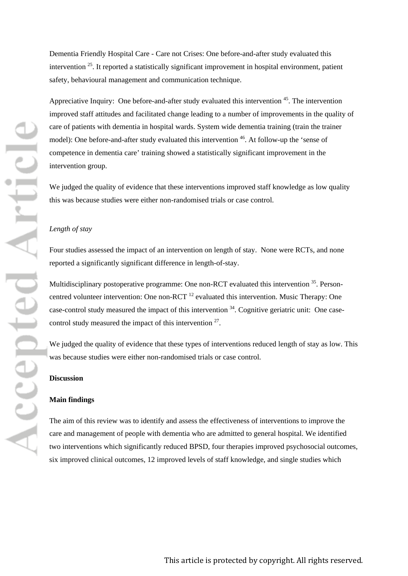Dementia Friendly Hospital Care - Care not Crises: One before-and-after study evaluated this intervention 25. It reported a statistically significant improvement in hospital environment, patient safety, behavioural management and communication technique.

Appreciative Inquiry: One before-and-after study evaluated this intervention <sup>45</sup>. The intervention improved staff attitudes and facilitated change leading to a number of improvements in the quality of care of patients with dementia in hospital wards. System wide dementia training (train the trainer model): One before-and-after study evaluated this intervention <sup>46</sup>. At follow-up the 'sense of competence in dementia care' training showed a statistically significant improvement in the intervention group.

We judged the quality of evidence that these interventions improved staff knowledge as low quality this was because studies were either non-randomised trials or case control.

### *Length of stay*

Four studies assessed the impact of an intervention on length of stay. None were RCTs, and none reported a significantly significant difference in length-of-stay.

Multidisciplinary postoperative programme: One non-RCT evaluated this intervention <sup>35</sup>. Personcentred volunteer intervention: One non-RCT<sup>12</sup> evaluated this intervention. Music Therapy: One case-control study measured the impact of this intervention 34. Cognitive geriatric unit: One casecontrol study measured the impact of this intervention 27.

We judged the quality of evidence that these types of interventions reduced length of stay as low. This was because studies were either non-randomised trials or case control.

### **Discussion**

### **Main findings**

The aim of this review was to identify and assess the effectiveness of interventions to improve the care and management of people with dementia who are admitted to general hospital. We identified two interventions which significantly reduced BPSD, four therapies improved psychosocial outcomes, six improved clinical outcomes, 12 improved levels of staff knowledge, and single studies which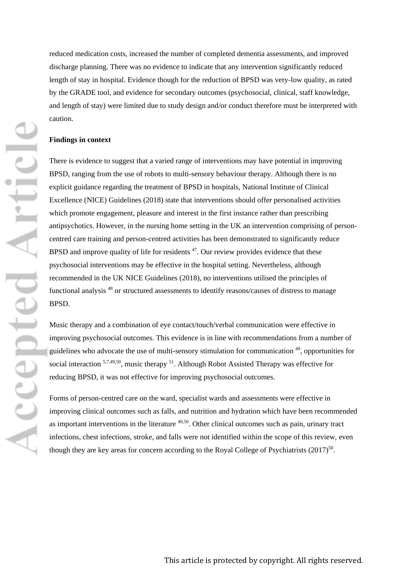reduced medication costs, increased the number of completed dementia assessments, and improved discharge planning. There was no evidence to indicate that any intervention significantly reduced length of stay in hospital. Evidence though for the reduction of BPSD was very-low quality, as rated by the GRADE tool, and evidence for secondary outcomes (psychosocial, clinical, staff knowledge, and length of stay) were limited due to study design and/or conduct therefore must be interpreted with caution.

### **Findings in context**

There is evidence to suggest that a varied range of interventions may have potential in improving BPSD, ranging from the use of robots to multi-sensory behaviour therapy. Although there is no explicit guidance regarding the treatment of BPSD in hospitals, National Institute of Clinical Excellence (NICE) Guidelines (2018) state that interventions should offer personalised activities which promote engagement, pleasure and interest in the first instance rather than prescribing antipsychotics. However, in the nursing home setting in the UK an intervention comprising of personcentred care training and person-centred activities has been demonstrated to significantly reduce BPSD and improve quality of life for residents  $47$ . Our review provides evidence that these psychosocial interventions may be effective in the hospital setting. Nevertheless, although recommended in the UK NICE Guidelines (2018), no interventions utilised the principles of functional analysis <sup>48</sup> or structured assessments to identify reasons/causes of distress to manage BPSD.

Music therapy and a combination of eye contact/touch/verbal communication were effective in improving psychosocial outcomes. This evidence is in line with recommendations from a number of guidelines who advocate the use of multi-sensory stimulation for communication 49, opportunities for social interaction <sup>5,7,49,50</sup>, music therapy <sup>51</sup>. Although Robot Assisted Therapy was effective for reducing BPSD, it was not effective for improving psychosocial outcomes.

Forms of person-centred care on the ward, specialist wards and assessments were effective in improving clinical outcomes such as falls, and nutrition and hydration which have been recommended as important interventions in the literature 49,50. Other clinical outcomes such as pain, urinary tract infections, chest infections, stroke, and falls were not identified within the scope of this review, even though they are key areas for concern according to the Royal College of Psychiatrists  $(2017)^{50}$ .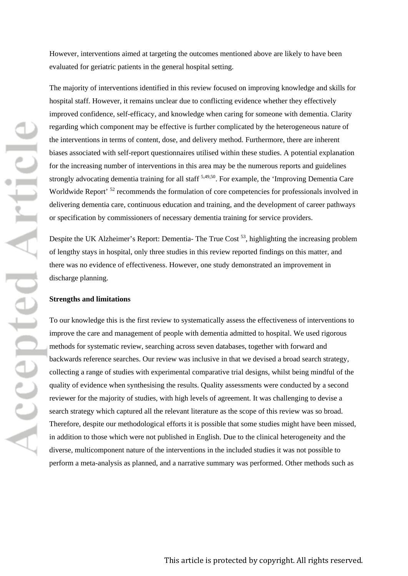However, interventions aimed at targeting the outcomes mentioned above are likely to have been evaluated for geriatric patients in the general hospital setting.

The majority of interventions identified in this review focused on improving knowledge and skills for hospital staff. However, it remains unclear due to conflicting evidence whether they effectively improved confidence, self-efficacy, and knowledge when caring for someone with dementia. Clarity regarding which component may be effective is further complicated by the heterogeneous nature of the interventions in terms of content, dose, and delivery method. Furthermore, there are inherent biases associated with self-report questionnaires utilised within these studies. A potential explanation for the increasing number of interventions in this area may be the numerous reports and guidelines strongly advocating dementia training for all staff <sup>5,49,50</sup>. For example, the 'Improving Dementia Care Worldwide Report'<sup>52</sup> recommends the formulation of core competencies for professionals involved in delivering dementia care, continuous education and training, and the development of career pathways or specification by commissioners of necessary dementia training for service providers.

Despite the UK Alzheimer's Report: Dementia- The True Cost<sup>53</sup>, highlighting the increasing problem of lengthy stays in hospital, only three studies in this review reported findings on this matter, and there was no evidence of effectiveness. However, one study demonstrated an improvement in discharge planning.

#### **Strengths and limitations**

To our knowledge this is the first review to systematically assess the effectiveness of interventions to improve the care and management of people with dementia admitted to hospital. We used rigorous methods for systematic review, searching across seven databases, together with forward and backwards reference searches. Our review was inclusive in that we devised a broad search strategy, collecting a range of studies with experimental comparative trial designs, whilst being mindful of the quality of evidence when synthesising the results. Quality assessments were conducted by a second reviewer for the majority of studies, with high levels of agreement. It was challenging to devise a search strategy which captured all the relevant literature as the scope of this review was so broad. Therefore, despite our methodological efforts it is possible that some studies might have been missed, in addition to those which were not published in English. Due to the clinical heterogeneity and the diverse, multicomponent nature of the interventions in the included studies it was not possible to perform a meta-analysis as planned, and a narrative summary was performed. Other methods such as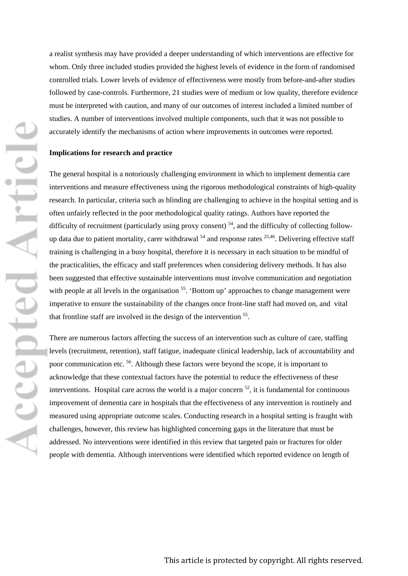a realist synthesis may have provided a deeper understanding of which interventions are effective for whom. Only three included studies provided the highest levels of evidence in the form of randomised controlled trials. Lower levels of evidence of effectiveness were mostly from before-and-after studies followed by case-controls. Furthermore, 21 studies were of medium or low quality, therefore evidence must be interpreted with caution, and many of our outcomes of interest included a limited number of studies. A number of interventions involved multiple components, such that it was not possible to accurately identify the mechanisms of action where improvements in outcomes were reported.

### **Implications for research and practice**

The general hospital is a notoriously challenging environment in which to implement dementia care interventions and measure effectiveness using the rigorous methodological constraints of high-quality research. In particular, criteria such as blinding are challenging to achieve in the hospital setting and is often unfairly reflected in the poor methodological quality ratings. Authors have reported the difficulty of recruitment (particularly using proxy consent)  $54$ , and the difficulty of collecting followup data due to patient mortality, carer withdrawal  $54$  and response rates  $25,46$ . Delivering effective staff training is challenging in a busy hospital, therefore it is necessary in each situation to be mindful of the practicalities, the efficacy and staff preferences when considering delivery methods. It has also been suggested that effective sustainable interventions must involve communication and negotiation with people at all levels in the organisation <sup>55</sup>. 'Bottom up' approaches to change management were imperative to ensure the sustainability of the changes once front-line staff had moved on, and vital that frontline staff are involved in the design of the intervention 55.

There are numerous factors affecting the success of an intervention such as culture of care, staffing levels (recruitment, retention), staff fatigue, inadequate clinical leadership, lack of accountability and poor communication etc. 56. Although these factors were beyond the scope, it is important to acknowledge that these contextual factors have the potential to reduce the effectiveness of these interventions. Hospital care across the world is a major concern  $^{52}$ , it is fundamental for continuous improvement of dementia care in hospitals that the effectiveness of any intervention is routinely and measured using appropriate outcome scales. Conducting research in a hospital setting is fraught with challenges, however, this review has highlighted concerning gaps in the literature that must be addressed. No interventions were identified in this review that targeted pain or fractures for older people with dementia. Although interventions were identified which reported evidence on length of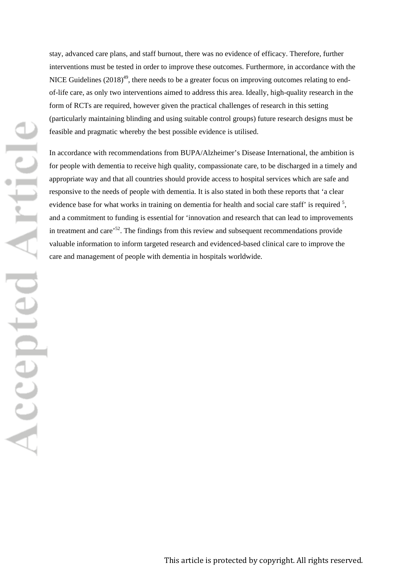stay, advanced care plans, and staff burnout, there was no evidence of efficacy. Therefore, further interventions must be tested in order to improve these outcomes. Furthermore, in accordance with the NICE Guidelines  $(2018)^{49}$ , there needs to be a greater focus on improving outcomes relating to endof-life care, as only two interventions aimed to address this area. Ideally, high-quality research in the form of RCTs are required, however given the practical challenges of research in this setting (particularly maintaining blinding and using suitable control groups) future research designs must be feasible and pragmatic whereby the best possible evidence is utilised.

In accordance with recommendations from BUPA/Alzheimer's Disease International, the ambition is for people with dementia to receive high quality, compassionate care, to be discharged in a timely and appropriate way and that all countries should provide access to hospital services which are safe and responsive to the needs of people with dementia. It is also stated in both these reports that 'a clear evidence base for what works in training on dementia for health and social care staff' is required <sup>5</sup>, and a commitment to funding is essential for 'innovation and research that can lead to improvements in treatment and care'52. The findings from this review and subsequent recommendations provide valuable information to inform targeted research and evidenced-based clinical care to improve the care and management of people with dementia in hospitals worldwide.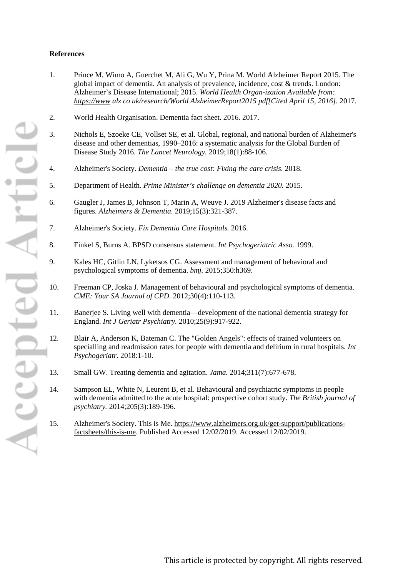### **References**

- 1. Prince M, Wimo A, Guerchet M, Ali G, Wu Y, Prina M. World Alzheimer Report 2015. The global impact of dementia. An analysis of prevalence, incidence, cost & trends. London: Alzheimer's Disease International; 2015. *World Health Organ-ization Available from: [https://www](https://www/) alz co uk/research/World AlzheimerReport2015 pdf[Cited April 15, 2016].* 2017.
- 2. World Health Organisation. Dementia fact sheet. 2016. 2017.
- 3. Nichols E, Szoeke CE, Vollset SE, et al. Global, regional, and national burden of Alzheimer's disease and other dementias, 1990–2016: a systematic analysis for the Global Burden of Disease Study 2016. *The Lancet Neurology.* 2019;18(1):88-106.
- 4. Alzheimer's Society. *Dementia – the true cost: Fixing the care crisis.* 2018.
- 5. Department of Health. *Prime Minister's challenge on dementia 2020.* 2015.
- 6. Gaugler J, James B, Johnson T, Marin A, Weuve J. 2019 Alzheimer's disease facts and figures. *Alzheimers & Dementia.* 2019;15(3):321-387.
- 7. Alzheimer's Society. *Fix Dementia Care Hospitals.* 2016.
- 8. Finkel S, Burns A. BPSD consensus statement. *Int Psychogeriatric Asso.* 1999.
- 9. Kales HC, Gitlin LN, Lyketsos CG. Assessment and management of behavioral and psychological symptoms of dementia. *bmj.* 2015;350:h369.
- 10. Freeman CP, Joska J. Management of behavioural and psychological symptoms of dementia. *CME: Your SA Journal of CPD.* 2012;30(4):110-113.
- 11. Banerjee S. Living well with dementia—development of the national dementia strategy for England. *Int J Geriatr Psychiatry.* 2010;25(9):917-922.
- 12. Blair A, Anderson K, Bateman C. The "Golden Angels": effects of trained volunteers on specialling and readmission rates for people with dementia and delirium in rural hospitals. *Int Psychogeriatr.* 2018:1-10.
- 13. Small GW. Treating dementia and agitation. *Jama.* 2014;311(7):677-678.
- 14. Sampson EL, White N, Leurent B, et al. Behavioural and psychiatric symptoms in people with dementia admitted to the acute hospital: prospective cohort study. *The British journal of psychiatry.* 2014;205(3):189-196.
- 15. Alzheimer's Society. This is Me. [https://www.alzheimers.org.uk/get-support/publications](https://www.alzheimers.org.uk/get-support/publications-factsheets/this-is-me)[factsheets/this-is-me.](https://www.alzheimers.org.uk/get-support/publications-factsheets/this-is-me) Published Accessed 12/02/2019. Accessed 12/02/2019.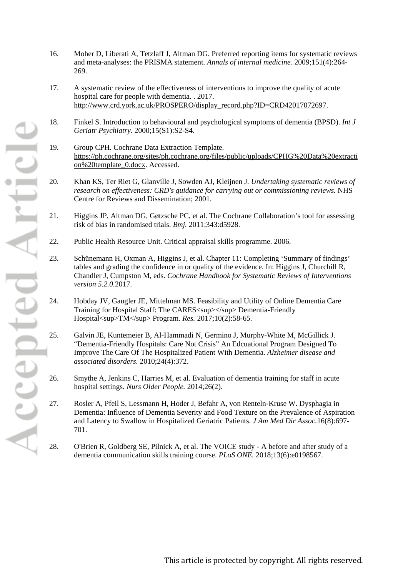- 16. Moher D, Liberati A, Tetzlaff J, Altman DG. Preferred reporting items for systematic reviews and meta-analyses: the PRISMA statement. *Annals of internal medicine.* 2009;151(4):264- 269.
- 17. A systematic review of the effectiveness of interventions to improve the quality of acute hospital care for people with dementia. . 2017. [http://www.crd.york.ac.uk/PROSPERO/display\\_record.php?ID=CRD42017072697.](http://www.crd.york.ac.uk/PROSPERO/display_record.php?ID=CRD42017072697)
- 18. Finkel S. Introduction to behavioural and psychological symptoms of dementia (BPSD). *Int J Geriatr Psychiatry.* 2000;15(S1):S2-S4.
- 19. Group CPH. Cochrane Data Extraction Template. [https://ph.cochrane.org/sites/ph.cochrane.org/files/public/uploads/CPHG%20Data%20extracti](https://ph.cochrane.org/sites/ph.cochrane.org/files/public/uploads/CPHG%20Data%20extraction%20template_0.docx) [on%20template\\_0.docx.](https://ph.cochrane.org/sites/ph.cochrane.org/files/public/uploads/CPHG%20Data%20extraction%20template_0.docx) Accessed.
- 20. Khan KS, Ter Riet G, Glanville J, Sowden AJ, Kleijnen J. *Undertaking systematic reviews of research on effectiveness: CRD's guidance for carrying out or commissioning reviews.* NHS Centre for Reviews and Dissemination; 2001.
- 21. Higgins JP, Altman DG, Gøtzsche PC, et al. The Cochrane Collaboration's tool for assessing risk of bias in randomised trials. *Bmj.* 2011;343:d5928.
- 22. Public Health Resource Unit. Critical appraisal skills programme. 2006.
- 23. Schünemann H, Oxman A, Higgins J, et al. Chapter 11: Completing 'Summary of findings' tables and grading the confidence in or quality of the evidence. In: Higgins J, Churchill R, Chandler J, Cumpston M, eds. *Cochrane Handbook for Systematic Reviews of Interventions version 5.2.0.*2017.
- 24. Hobday JV, Gaugler JE, Mittelman MS. Feasibility and Utility of Online Dementia Care Training for Hospital Staff: The CARES <sup></sup> Dementia-Friendly Hospital<sup>TM</sup> Program. *Res.* 2017;10(2):58-65.
- 25. Galvin JE, Kuntemeier B, Al-Hammadi N, Germino J, Murphy-White M, McGillick J. "Dementia-Friendly Hospitals: Care Not Crisis" An Edcuational Program Designed To Improve The Care Of The Hospitalized Patient With Dementia. *Alzheimer disease and associated disorders.* 2010;24(4):372.
- 26. Smythe A, Jenkins C, Harries M, et al. Evaluation of dementia training for staff in acute hospital settings. *Nurs Older People.* 2014;26(2).
- 27. Rosler A, Pfeil S, Lessmann H, Hoder J, Befahr A, von Renteln-Kruse W. Dysphagia in Dementia: Influence of Dementia Severity and Food Texture on the Prevalence of Aspiration and Latency to Swallow in Hospitalized Geriatric Patients. *J Am Med Dir Assoc.*16(8):697- 701.
- 28. O'Brien R, Goldberg SE, Pilnick A, et al. The VOICE study A before and after study of a dementia communication skills training course. *PLoS ONE.* 2018;13(6):e0198567.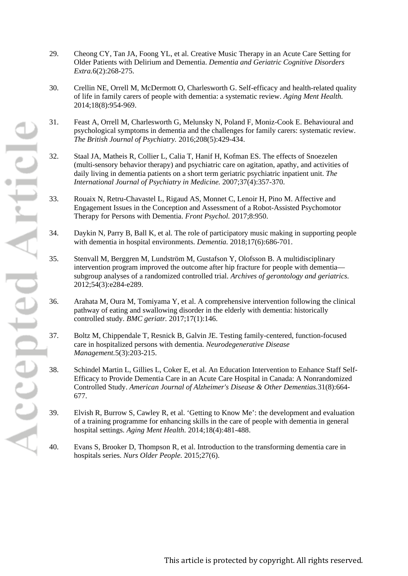- 29. Cheong CY, Tan JA, Foong YL, et al. Creative Music Therapy in an Acute Care Setting for Older Patients with Delirium and Dementia. *Dementia and Geriatric Cognitive Disorders Extra.*6(2):268-275.
- 30. Crellin NE, Orrell M, McDermott O, Charlesworth G. Self-efficacy and health-related quality of life in family carers of people with dementia: a systematic review. *Aging Ment Health.*  2014;18(8):954-969.
- 31. Feast A, Orrell M, Charlesworth G, Melunsky N, Poland F, Moniz-Cook E. Behavioural and psychological symptoms in dementia and the challenges for family carers: systematic review. *The British Journal of Psychiatry.* 2016;208(5):429-434.
- 32. Staal JA, Matheis R, Collier L, Calia T, Hanif H, Kofman ES. The effects of Snoezelen (multi-sensory behavior therapy) and psychiatric care on agitation, apathy, and activities of daily living in dementia patients on a short term geriatric psychiatric inpatient unit. *The International Journal of Psychiatry in Medicine.* 2007;37(4):357-370.
- 33. Rouaix N, Retru-Chavastel L, Rigaud AS, Monnet C, Lenoir H, Pino M. Affective and Engagement Issues in the Conception and Assessment of a Robot-Assisted Psychomotor Therapy for Persons with Dementia. *Front Psychol.* 2017;8:950.
- 34. Daykin N, Parry B, Ball K, et al. The role of participatory music making in supporting people with dementia in hospital environments. *Dementia.* 2018;17(6):686-701.
- 35. Stenvall M, Berggren M, Lundström M, Gustafson Y, Olofsson B. A multidisciplinary intervention program improved the outcome after hip fracture for people with dementia subgroup analyses of a randomized controlled trial. *Archives of gerontology and geriatrics.*  2012;54(3):e284-e289.
- 36. Arahata M, Oura M, Tomiyama Y, et al. A comprehensive intervention following the clinical pathway of eating and swallowing disorder in the elderly with dementia: historically controlled study. *BMC geriatr.* 2017;17(1):146.
- 37. Boltz M, Chippendale T, Resnick B, Galvin JE. Testing family-centered, function-focused care in hospitalized persons with dementia. *Neurodegenerative Disease Management.*5(3):203-215.
- 38. Schindel Martin L, Gillies L, Coker E, et al. An Education Intervention to Enhance Staff Self-Efficacy to Provide Dementia Care in an Acute Care Hospital in Canada: A Nonrandomized Controlled Study. *American Journal of Alzheimer's Disease & Other Dementias.*31(8):664- 677.
- 39. Elvish R, Burrow S, Cawley R, et al. 'Getting to Know Me': the development and evaluation of a training programme for enhancing skills in the care of people with dementia in general hospital settings. *Aging Ment Health.* 2014;18(4):481-488.
- 40. Evans S, Brooker D, Thompson R, et al. Introduction to the transforming dementia care in hospitals series. *Nurs Older People.* 2015;27(6).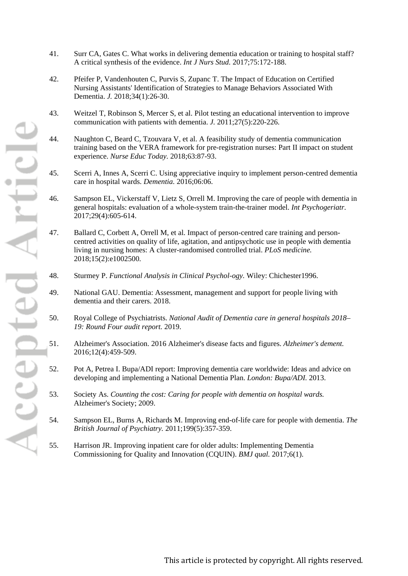- 41. Surr CA, Gates C. What works in delivering dementia education or training to hospital staff? A critical synthesis of the evidence. *Int J Nurs Stud.* 2017;75:172-188.
- 42. Pfeifer P, Vandenhouten C, Purvis S, Zupanc T. The Impact of Education on Certified Nursing Assistants' Identification of Strategies to Manage Behaviors Associated With Dementia. *J.* 2018;34(1):26-30.
- 43. Weitzel T, Robinson S, Mercer S, et al. Pilot testing an educational intervention to improve communication with patients with dementia. *J.* 2011;27(5):220-226.
- 44. Naughton C, Beard C, Tzouvara V, et al. A feasibility study of dementia communication training based on the VERA framework for pre-registration nurses: Part II impact on student experience. *Nurse Educ Today.* 2018;63:87-93.
- 45. Scerri A, Innes A, Scerri C. Using appreciative inquiry to implement person-centred dementia care in hospital wards. *Dementia.* 2016;06:06.
- 46. Sampson EL, Vickerstaff V, Lietz S, Orrell M. Improving the care of people with dementia in general hospitals: evaluation of a whole-system train-the-trainer model. *Int Psychogeriatr.*  2017;29(4):605-614.
- 47. Ballard C, Corbett A, Orrell M, et al. Impact of person-centred care training and personcentred activities on quality of life, agitation, and antipsychotic use in people with dementia living in nursing homes: A cluster-randomised controlled trial. *PLoS medicine.*  2018;15(2):e1002500.
- 48. Sturmey P. *Functional Analysis in Clinical Psychol-ogy.* Wiley: Chichester1996.
- 49. National GAU. Dementia: Assessment, management and support for people living with dementia and their carers. 2018.
- 50. Royal College of Psychiatrists. *National Audit of Dementia care in general hospitals 2018– 19: Round Four audit report.* 2019.
- 51. Alzheimer's Association. 2016 Alzheimer's disease facts and figures. *Alzheimer's dement.*  2016;12(4):459-509.
- 52. Pot A, Petrea I. Bupa/ADI report: Improving dementia care worldwide: Ideas and advice on developing and implementing a National Dementia Plan. *London: Bupa/ADI.* 2013.
- 53. Society As. *Counting the cost: Caring for people with dementia on hospital wards.* Alzheimer's Society; 2009.
- 54. Sampson EL, Burns A, Richards M. Improving end-of-life care for people with dementia. *The British Journal of Psychiatry.* 2011;199(5):357-359.
- 55. Harrison JR. Improving inpatient care for older adults: Implementing Dementia Commissioning for Quality and Innovation (CQUIN). *BMJ qual.* 2017;6(1).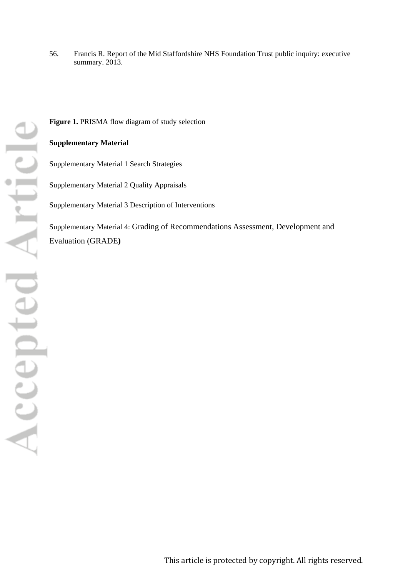56. Francis R. Report of the Mid Staffordshire NHS Foundation Trust public inquiry: executive summary. 2013.

Figure 1. PRISMA flow diagram of study selection

### **Supplementary Material**

<span id="page-22-0"></span>Supplementary Material 1 Search Strategies

<span id="page-22-1"></span>Supplementary Material 2 Quality Appraisals

Supplementary Material 3 Description of Interventions

Supplementary Material 4: Grading of Recommendations Assessment, Development and Evaluation (GRADE**)**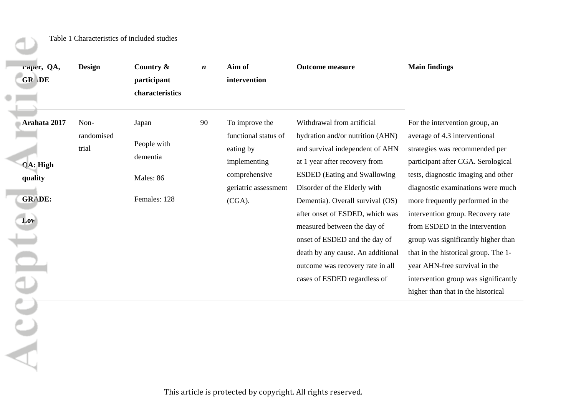<span id="page-23-0"></span>

| raper, QA,<br>GR DE                                         | <b>Design</b>               | Country &<br>participant<br>characteristics                   | $\boldsymbol{n}$ | Aim of<br>intervention                                                                                                    | <b>Outcome measure</b>                                                                                                                                                                                                                                                                                                                                                                                                                                    | <b>Main findings</b>                                                                                                                                                                                                                                                                                                                                                                                                                                                                                                         |
|-------------------------------------------------------------|-----------------------------|---------------------------------------------------------------|------------------|---------------------------------------------------------------------------------------------------------------------------|-----------------------------------------------------------------------------------------------------------------------------------------------------------------------------------------------------------------------------------------------------------------------------------------------------------------------------------------------------------------------------------------------------------------------------------------------------------|------------------------------------------------------------------------------------------------------------------------------------------------------------------------------------------------------------------------------------------------------------------------------------------------------------------------------------------------------------------------------------------------------------------------------------------------------------------------------------------------------------------------------|
| Arahata 2017<br>QA: High<br>quality<br><b>GRADE:</b><br>Low | Non-<br>randomised<br>trial | Japan<br>People with<br>dementia<br>Males: 86<br>Females: 128 | 90               | To improve the<br>functional status of<br>eating by<br>implementing<br>comprehensive<br>geriatric assessment<br>$(CGA)$ . | Withdrawal from artificial<br>hydration and/or nutrition (AHN)<br>and survival independent of AHN<br>at 1 year after recovery from<br><b>ESDED</b> (Eating and Swallowing<br>Disorder of the Elderly with<br>Dementia). Overall survival (OS)<br>after onset of ESDED, which was<br>measured between the day of<br>onset of ESDED and the day of<br>death by any cause. An additional<br>outcome was recovery rate in all<br>cases of ESDED regardless of | For the intervention group, an<br>average of 4.3 interventional<br>strategies was recommended per<br>participant after CGA. Serological<br>tests, diagnostic imaging and other<br>diagnostic examinations were much<br>more frequently performed in the<br>intervention group. Recovery rate<br>from ESDED in the intervention<br>group was significantly higher than<br>that in the historical group. The 1-<br>year AHN-free survival in the<br>intervention group was significantly<br>higher than that in the historical |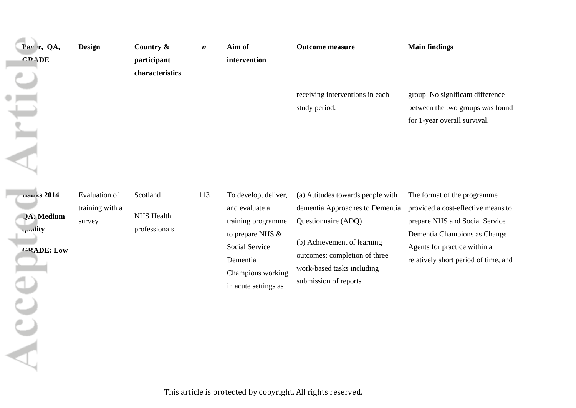| Par r, QA,<br><b>GRADE</b>                                              | <b>Design</b>                                     | Country &<br>participant<br>characteristics    | $\boldsymbol{n}$ | Aim of<br>intervention                                                                                                                                      | <b>Outcome measure</b>                                                                                                                                                                                             | <b>Main findings</b>                                                                                                                                                                                        |
|-------------------------------------------------------------------------|---------------------------------------------------|------------------------------------------------|------------------|-------------------------------------------------------------------------------------------------------------------------------------------------------------|--------------------------------------------------------------------------------------------------------------------------------------------------------------------------------------------------------------------|-------------------------------------------------------------------------------------------------------------------------------------------------------------------------------------------------------------|
| ⊏                                                                       |                                                   |                                                |                  |                                                                                                                                                             | receiving interventions in each<br>study period.                                                                                                                                                                   | group No significant difference<br>between the two groups was found<br>for 1-year overall survival.                                                                                                         |
| DALKS 2014<br><b>JA</b> : Medium<br><b>quality</b><br><b>CRADE: Low</b> | <b>Evaluation</b> of<br>training with a<br>survey | Scotland<br><b>NHS</b> Health<br>professionals | 113              | To develop, deliver,<br>and evaluate a<br>training programme<br>to prepare NHS &<br>Social Service<br>Dementia<br>Champions working<br>in acute settings as | (a) Attitudes towards people with<br>dementia Approaches to Dementia<br>Questionnaire (ADQ)<br>(b) Achievement of learning<br>outcomes: completion of three<br>work-based tasks including<br>submission of reports | The format of the programme<br>provided a cost-effective means to<br>prepare NHS and Social Service<br>Dementia Champions as Change<br>Agents for practice within a<br>relatively short period of time, and |
|                                                                         |                                                   |                                                |                  |                                                                                                                                                             |                                                                                                                                                                                                                    |                                                                                                                                                                                                             |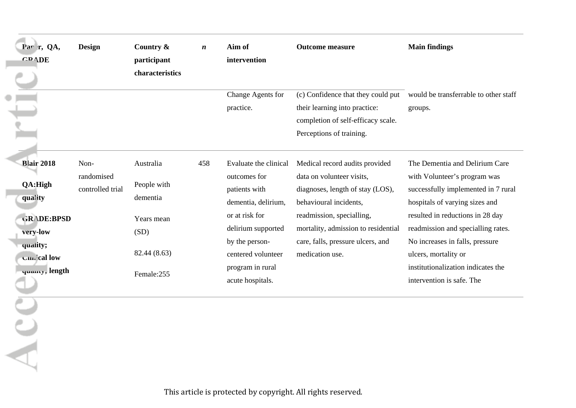| Par r, QA,<br><b>GRADE</b>                                                                                                   | <b>Design</b>                          | Country &<br>participant<br>characteristics                                              | $\boldsymbol{n}$ | Aim of<br>intervention<br>Change Agents for                                                                                                                                                           | <b>Outcome measure</b>                                                                                                                                                                                                                                | <b>Main findings</b><br>(c) Confidence that they could put would be transferrable to other staff                                                                                                                                                                                                                                                |
|------------------------------------------------------------------------------------------------------------------------------|----------------------------------------|------------------------------------------------------------------------------------------|------------------|-------------------------------------------------------------------------------------------------------------------------------------------------------------------------------------------------------|-------------------------------------------------------------------------------------------------------------------------------------------------------------------------------------------------------------------------------------------------------|-------------------------------------------------------------------------------------------------------------------------------------------------------------------------------------------------------------------------------------------------------------------------------------------------------------------------------------------------|
|                                                                                                                              |                                        |                                                                                          |                  | practice.                                                                                                                                                                                             | their learning into practice:<br>completion of self-efficacy scale.<br>Perceptions of training.                                                                                                                                                       | groups.                                                                                                                                                                                                                                                                                                                                         |
| <b>Blair 2018</b><br>QA:High<br>quality<br><b>GRADE:BPSD</b><br>very-low<br>quality;<br><b>Cimical low</b><br>yuanty, length | Non-<br>randomised<br>controlled trial | Australia<br>People with<br>dementia<br>Years mean<br>(SD)<br>82.44 (8.63)<br>Female:255 | 458              | Evaluate the clinical<br>outcomes for<br>patients with<br>dementia, delirium,<br>or at risk for<br>delirium supported<br>by the person-<br>centered volunteer<br>program in rural<br>acute hospitals. | Medical record audits provided<br>data on volunteer visits,<br>diagnoses, length of stay (LOS),<br>behavioural incidents,<br>readmission, specialling,<br>mortality, admission to residential<br>care, falls, pressure ulcers, and<br>medication use. | The Dementia and Delirium Care<br>with Volunteer's program was<br>successfully implemented in 7 rural<br>hospitals of varying sizes and<br>resulted in reductions in 28 day<br>readmission and specialling rates.<br>No increases in falls, pressure<br>ulcers, mortality or<br>institutionalization indicates the<br>intervention is safe. The |
|                                                                                                                              |                                        |                                                                                          |                  |                                                                                                                                                                                                       |                                                                                                                                                                                                                                                       |                                                                                                                                                                                                                                                                                                                                                 |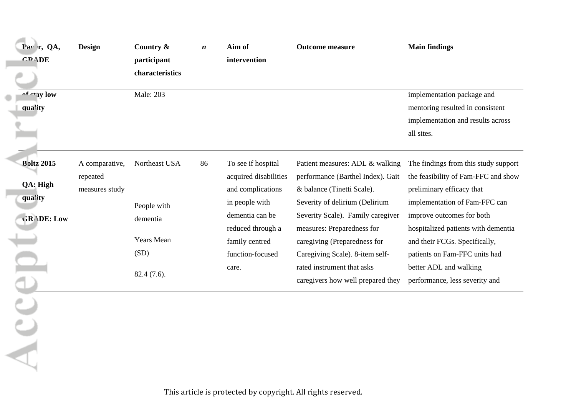| Par r, QA,                               | <b>Design</b>                                | Country &                     | $\boldsymbol{n}$ | Aim of                                                                                                | <b>Outcome measure</b>                                                                                                                                                    | <b>Main findings</b>                                                                                                                                                   |
|------------------------------------------|----------------------------------------------|-------------------------------|------------------|-------------------------------------------------------------------------------------------------------|---------------------------------------------------------------------------------------------------------------------------------------------------------------------------|------------------------------------------------------------------------------------------------------------------------------------------------------------------------|
| <b>GRADE</b>                             |                                              | participant                   |                  | intervention                                                                                          |                                                                                                                                                                           |                                                                                                                                                                        |
|                                          |                                              | characteristics               |                  |                                                                                                       |                                                                                                                                                                           |                                                                                                                                                                        |
| of etay low<br>quality                   |                                              | <b>Male: 203</b>              |                  |                                                                                                       |                                                                                                                                                                           | implementation package and<br>mentoring resulted in consistent<br>implementation and results across<br>all sites.                                                      |
| <b>Boltz 2015</b><br>QA: High<br>quality | A comparative,<br>repeated<br>measures study | Northeast USA<br>People with  | 86               | To see if hospital<br>acquired disabilities<br>and complications<br>in people with<br>dementia can be | Patient measures: ADL & walking<br>performance (Barthel Index). Gait<br>& balance (Tinetti Scale).<br>Severity of delirium (Delirium<br>Severity Scale). Family caregiver | The findings from this study support<br>the feasibility of Fam-FFC and show<br>preliminary efficacy that<br>implementation of Fam-FFC can<br>improve outcomes for both |
| GRADE: Low                               |                                              | dementia<br><b>Years Mean</b> |                  | reduced through a<br>family centred                                                                   | measures: Preparedness for<br>caregiving (Preparedness for                                                                                                                | hospitalized patients with dementia<br>and their FCGs. Specifically,                                                                                                   |
|                                          |                                              | (SD)                          |                  | function-focused                                                                                      | Caregiving Scale). 8-item self-                                                                                                                                           | patients on Fam-FFC units had                                                                                                                                          |
|                                          |                                              | 82.4 (7.6).                   |                  | care.                                                                                                 | rated instrument that asks<br>caregivers how well prepared they                                                                                                           | better ADL and walking<br>performance, less severity and                                                                                                               |
|                                          |                                              |                               |                  |                                                                                                       |                                                                                                                                                                           |                                                                                                                                                                        |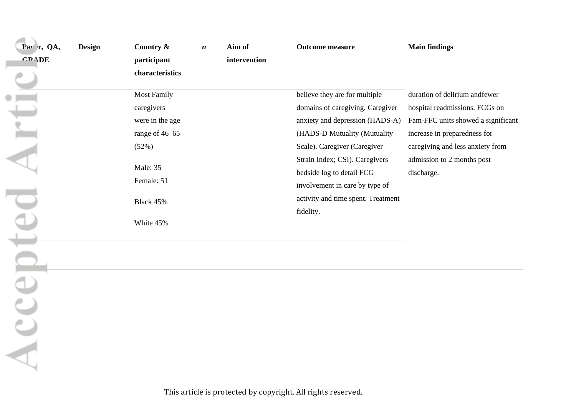| Par r, QA,<br><b>GRADE</b> | <b>Design</b> | Country $\&$<br>participant<br>characteristics | $\boldsymbol{n}$ | Aim of<br>intervention | <b>Outcome measure</b>                                      | <b>Main findings</b>                     |
|----------------------------|---------------|------------------------------------------------|------------------|------------------------|-------------------------------------------------------------|------------------------------------------|
|                            |               | <b>Most Family</b>                             |                  |                        | believe they are for multiple                               | duration of delirium and fewer           |
|                            |               | caregivers                                     |                  |                        | domains of caregiving. Caregiver                            | hospital readmissions. FCGs on           |
|                            |               | were in the age                                |                  |                        | anxiety and depression (HADS-A)                             | Fam-FFC units showed a significant       |
|                            |               | range of 46–65                                 |                  |                        | (HADS-D Mutuality (Mutuality                                | increase in preparedness for             |
|                            |               | (52%)                                          |                  |                        | Scale). Caregiver (Caregiver                                | caregiving and less anxiety from         |
|                            |               | Male: 35                                       |                  |                        | Strain Index; CSI). Caregivers<br>bedside log to detail FCG | admission to 2 months post<br>discharge. |
|                            |               | Female: 51                                     |                  |                        | involvement in care by type of                              |                                          |
|                            |               | Black 45%                                      |                  |                        | activity and time spent. Treatment                          |                                          |
|                            |               | White 45%                                      |                  |                        | fidelity.                                                   |                                          |

Accep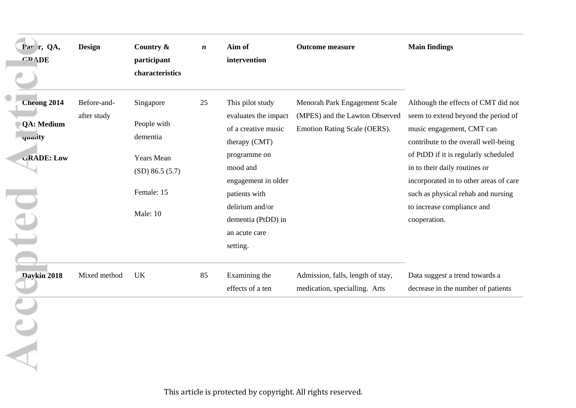| Par r, QA,<br><b>GRADE</b>                                              | <b>Design</b>              | Country &<br>participant<br>characteristics                                                              | $\boldsymbol{n}$ | Aim of<br>intervention                                                                                                                                                                                                     | <b>Outcome measure</b>                                                                          | <b>Main findings</b>                                                                                                                                                                                                                                                                                                                                   |
|-------------------------------------------------------------------------|----------------------------|----------------------------------------------------------------------------------------------------------|------------------|----------------------------------------------------------------------------------------------------------------------------------------------------------------------------------------------------------------------------|-------------------------------------------------------------------------------------------------|--------------------------------------------------------------------------------------------------------------------------------------------------------------------------------------------------------------------------------------------------------------------------------------------------------------------------------------------------------|
| <b>Cheong 2014</b><br><b>QA: Medium</b><br>quarity<br><b>GRADE:</b> Low | Before-and-<br>after study | Singapore<br>People with<br>dementia<br><b>Years Mean</b><br>$(SD)$ 86.5 (5.7)<br>Female: 15<br>Male: 10 | 25               | This pilot study<br>evaluates the impact<br>of a creative music<br>therapy (CMT)<br>programme on<br>mood and<br>engagement in older<br>patients with<br>delirium and/or<br>dementia (PtDD) in<br>an acute care<br>setting. | Menorah Park Engagement Scale<br>(MPES) and the Lawton Observed<br>Emotion Rating Scale (OERS). | Although the effects of CMT did not<br>seem to extend beyond the period of<br>music engagement, CMT can<br>contribute to the overall well-being<br>of PtDD if it is regularly scheduled<br>in to their daily routines or<br>incorporated in to other areas of care<br>such as physical rehab and nursing<br>to increase compliance and<br>cooperation. |
| Daykin 2018                                                             | Mixed method               | UK                                                                                                       | 85               | Examining the<br>effects of a ten                                                                                                                                                                                          | Admission, falls, length of stay,<br>medication, specialling. Arts                              | Data suggest a trend towards a<br>decrease in the number of patients                                                                                                                                                                                                                                                                                   |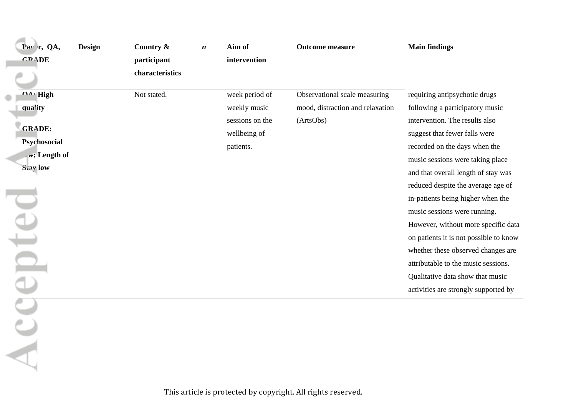| Par r, QA,<br><b>GRADE</b>                                                                                              | <b>Design</b> | Country &<br>participant<br>characteristics | $\boldsymbol{n}$ | Aim of<br>intervention                                                         | <b>Outcome measure</b>                                                         | <b>Main findings</b>                                                                                                                                                                                                                                                                                                                                                                                                                                                                                                                                                                                 |
|-------------------------------------------------------------------------------------------------------------------------|---------------|---------------------------------------------|------------------|--------------------------------------------------------------------------------|--------------------------------------------------------------------------------|------------------------------------------------------------------------------------------------------------------------------------------------------------------------------------------------------------------------------------------------------------------------------------------------------------------------------------------------------------------------------------------------------------------------------------------------------------------------------------------------------------------------------------------------------------------------------------------------------|
| $\mathbf{A} \cdot \mathbf{High}$<br>quality<br><b>GRADE:</b><br>Psychosocial<br>w; Length of<br><b>Stav low</b><br>epte |               | Not stated.                                 |                  | week period of<br>weekly music<br>sessions on the<br>wellbeing of<br>patients. | Observational scale measuring<br>mood, distraction and relaxation<br>(ArtsObs) | requiring antipsychotic drugs<br>following a participatory music<br>intervention. The results also<br>suggest that fewer falls were<br>recorded on the days when the<br>music sessions were taking place<br>and that overall length of stay was<br>reduced despite the average age of<br>in-patients being higher when the<br>music sessions were running.<br>However, without more specific data<br>on patients it is not possible to know<br>whether these observed changes are<br>attributable to the music sessions.<br>Qualitative data show that music<br>activities are strongly supported by |
|                                                                                                                         |               |                                             |                  |                                                                                |                                                                                |                                                                                                                                                                                                                                                                                                                                                                                                                                                                                                                                                                                                      |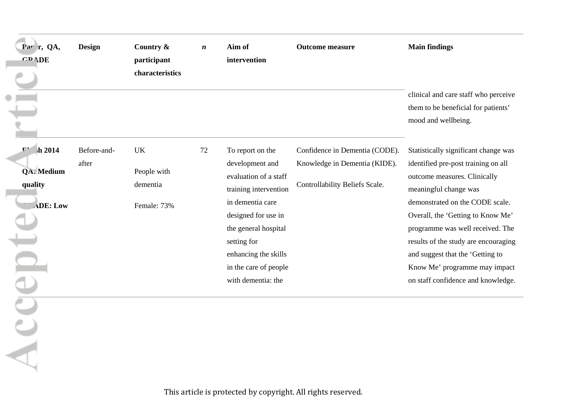| Par r, QA,<br><b>GRADE</b>                                                     | <b>Design</b>        | Country &<br>participant<br>characteristics         | $\boldsymbol{n}$ | Aim of<br>intervention                                                                                                                                                                                                                         | <b>Outcome measure</b>                                                                            | <b>Main findings</b>                                                                                                                                                                                                                                                                                                                                                                                |
|--------------------------------------------------------------------------------|----------------------|-----------------------------------------------------|------------------|------------------------------------------------------------------------------------------------------------------------------------------------------------------------------------------------------------------------------------------------|---------------------------------------------------------------------------------------------------|-----------------------------------------------------------------------------------------------------------------------------------------------------------------------------------------------------------------------------------------------------------------------------------------------------------------------------------------------------------------------------------------------------|
|                                                                                |                      |                                                     |                  |                                                                                                                                                                                                                                                |                                                                                                   | clinical and care staff who perceive<br>them to be beneficial for patients'<br>mood and wellbeing.                                                                                                                                                                                                                                                                                                  |
| Ŀ.<br>$sh$ 2014<br>QA. Medium<br>quality<br><b>ADE: Low</b><br>$\bigcap$<br>Be | Before-and-<br>after | <b>UK</b><br>People with<br>dementia<br>Female: 73% | 72               | To report on the<br>development and<br>evaluation of a staff<br>training intervention<br>in dementia care<br>designed for use in<br>the general hospital<br>setting for<br>enhancing the skills<br>in the care of people<br>with dementia: the | Confidence in Dementia (CODE).<br>Knowledge in Dementia (KIDE).<br>Controllability Beliefs Scale. | Statistically significant change was<br>identified pre-post training on all<br>outcome measures. Clinically<br>meaningful change was<br>demonstrated on the CODE scale.<br>Overall, the 'Getting to Know Me'<br>programme was well received. The<br>results of the study are encouraging<br>and suggest that the 'Getting to<br>Know Me' programme may impact<br>on staff confidence and knowledge. |
|                                                                                |                      |                                                     |                  |                                                                                                                                                                                                                                                |                                                                                                   |                                                                                                                                                                                                                                                                                                                                                                                                     |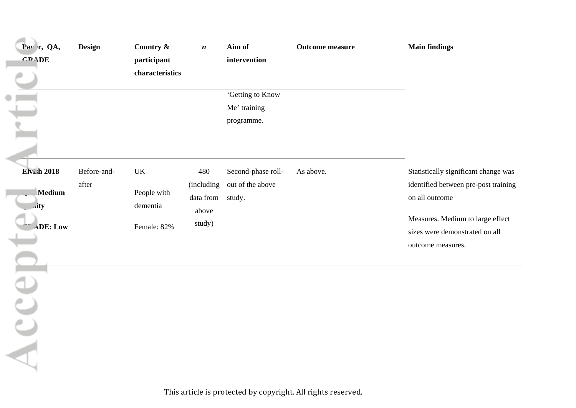| Par r, QA,<br><b>CRADE</b>                                           | <b>Design</b>        | Country &<br>participant<br>characteristics  | $\boldsymbol{n}$                                  | Aim of<br>intervention<br>'Getting to Know<br>Me' training<br>programme. | <b>Outcome measure</b> | <b>Main findings</b>                                                                                                                                                                      |
|----------------------------------------------------------------------|----------------------|----------------------------------------------|---------------------------------------------------|--------------------------------------------------------------------------|------------------------|-------------------------------------------------------------------------------------------------------------------------------------------------------------------------------------------|
| <b>Elvish 2018</b><br><b>Medium</b><br>ity<br><b>ADE: Low</b><br>ACC | Before-and-<br>after | UK<br>People with<br>dementia<br>Female: 82% | 480<br>(including<br>data from<br>above<br>study) | Second-phase roll-<br>out of the above<br>study.                         | As above.              | Statistically significant change was<br>identified between pre-post training<br>on all outcome<br>Measures. Medium to large effect<br>sizes were demonstrated on all<br>outcome measures. |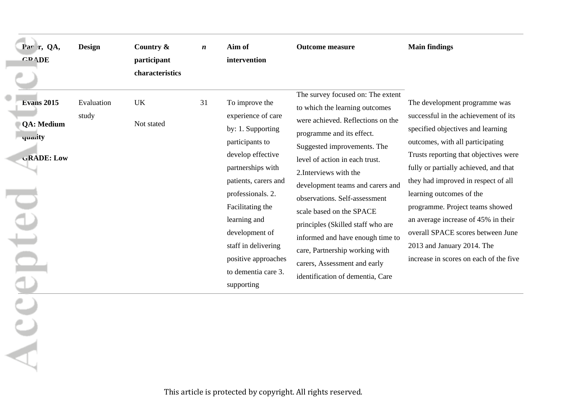| Par r, QA,<br><b>GRADE</b>                                                     | <b>Design</b>       | Country &<br>participant<br>characteristics | $\boldsymbol{n}$ | Aim of<br>intervention                                                                                                                                                                                                                                                                                       | <b>Outcome measure</b>                                                                                                                                                                                                                                                                                                                                                                                                                                                                                           | <b>Main findings</b>                                                                                                                                                                                                                                                                                                                                                                                                                                                                       |
|--------------------------------------------------------------------------------|---------------------|---------------------------------------------|------------------|--------------------------------------------------------------------------------------------------------------------------------------------------------------------------------------------------------------------------------------------------------------------------------------------------------------|------------------------------------------------------------------------------------------------------------------------------------------------------------------------------------------------------------------------------------------------------------------------------------------------------------------------------------------------------------------------------------------------------------------------------------------------------------------------------------------------------------------|--------------------------------------------------------------------------------------------------------------------------------------------------------------------------------------------------------------------------------------------------------------------------------------------------------------------------------------------------------------------------------------------------------------------------------------------------------------------------------------------|
| <b>Evans 2015</b><br><b>QA: Medium</b><br>quarity<br><b>GRADE: Low</b><br>epte | Evaluation<br>study | <b>UK</b><br>Not stated                     | 31               | To improve the<br>experience of care<br>by: 1. Supporting<br>participants to<br>develop effective<br>partnerships with<br>patients, carers and<br>professionals. 2.<br>Facilitating the<br>learning and<br>development of<br>staff in delivering<br>positive approaches<br>to dementia care 3.<br>supporting | The survey focused on: The extent<br>to which the learning outcomes<br>were achieved. Reflections on the<br>programme and its effect.<br>Suggested improvements. The<br>level of action in each trust.<br>2. Interviews with the<br>development teams and carers and<br>observations. Self-assessment<br>scale based on the SPACE<br>principles (Skilled staff who are<br>informed and have enough time to<br>care, Partnership working with<br>carers, Assessment and early<br>identification of dementia, Care | The development programme was<br>successful in the achievement of its<br>specified objectives and learning<br>outcomes, with all participating<br>Trusts reporting that objectives were<br>fully or partially achieved, and that<br>they had improved in respect of all<br>learning outcomes of the<br>programme. Project teams showed<br>an average increase of 45% in their<br>overall SPACE scores between June<br>2013 and January 2014. The<br>increase in scores on each of the five |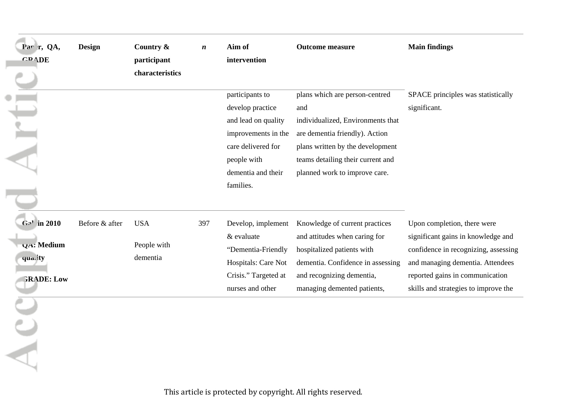| Par r, QA,               | Design         | Country &       | $\boldsymbol{n}$ | Aim of               | <b>Outcome measure</b>            | <b>Main findings</b>                 |
|--------------------------|----------------|-----------------|------------------|----------------------|-----------------------------------|--------------------------------------|
| <b>GRADE</b>             |                | participant     |                  | intervention         |                                   |                                      |
|                          |                | characteristics |                  |                      |                                   |                                      |
|                          |                |                 |                  | participants to      | plans which are person-centred    | SPACE principles was statistically   |
|                          |                |                 |                  | develop practice     | and                               | significant.                         |
|                          |                |                 |                  | and lead on quality  | individualized, Environments that |                                      |
|                          |                |                 |                  | improvements in the  | are dementia friendly). Action    |                                      |
|                          |                |                 |                  | care delivered for   | plans written by the development  |                                      |
|                          |                |                 |                  | people with          | teams detailing their current and |                                      |
|                          |                |                 |                  | dementia and their   | planned work to improve care.     |                                      |
|                          |                |                 |                  | families.            |                                   |                                      |
|                          |                |                 |                  |                      |                                   |                                      |
| G <sub>2</sub> ' in 2010 | Before & after | <b>USA</b>      | 397              | Develop, implement   | Knowledge of current practices    | Upon completion, there were          |
| <b>VA: Medium</b>        |                | People with     |                  | & evaluate           | and attitudes when caring for     | significant gains in knowledge and   |
| quality                  |                | dementia        |                  | "Dementia-Friendly   | hospitalized patients with        | confidence in recognizing, assessing |
|                          |                |                 |                  | Hospitals: Care Not  | dementia. Confidence in assessing | and managing dementia. Attendees     |
| <b>GRADE: Low</b>        |                |                 |                  | Crisis." Targeted at | and recognizing dementia,         | reported gains in communication      |
|                          |                |                 |                  | nurses and other     | managing demented patients,       | skills and strategies to improve the |
|                          |                |                 |                  |                      |                                   |                                      |
|                          |                |                 |                  |                      |                                   |                                      |
|                          |                |                 |                  |                      |                                   |                                      |
|                          |                |                 |                  |                      |                                   |                                      |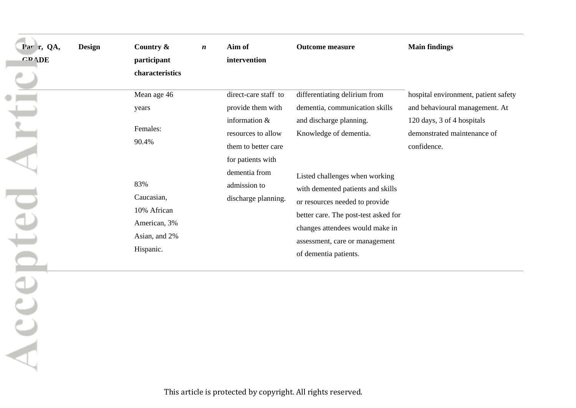| Par r, QA,   | <b>Design</b> | Country $\&$    | $\boldsymbol{n}$ | Aim of               | <b>Outcome measure</b>               | <b>Main findings</b>                 |
|--------------|---------------|-----------------|------------------|----------------------|--------------------------------------|--------------------------------------|
| <b>GRADE</b> |               | participant     |                  | intervention         |                                      |                                      |
|              |               | characteristics |                  |                      |                                      |                                      |
|              |               | Mean age 46     |                  | direct-care staff to | differentiating delirium from        | hospital environment, patient safety |
|              |               | years           |                  | provide them with    | dementia, communication skills       | and behavioural management. At       |
|              |               |                 |                  | information $&$      | and discharge planning.              | 120 days, 3 of 4 hospitals           |
|              |               | Females:        |                  | resources to allow   | Knowledge of dementia.               | demonstrated maintenance of          |
|              |               | 90.4%           |                  | them to better care  |                                      | confidence.                          |
|              |               |                 |                  | for patients with    |                                      |                                      |
|              |               |                 |                  | dementia from        | Listed challenges when working       |                                      |
|              |               | 83%             |                  | admission to         | with demented patients and skills    |                                      |
|              |               | Caucasian,      |                  | discharge planning.  | or resources needed to provide       |                                      |
|              |               | 10% African     |                  |                      | better care. The post-test asked for |                                      |
|              |               | American, 3%    |                  |                      | changes attendees would make in      |                                      |
|              |               | Asian, and 2%   |                  |                      | assessment, care or management       |                                      |
|              |               | Hispanic.       |                  |                      | of dementia patients.                |                                      |

Acce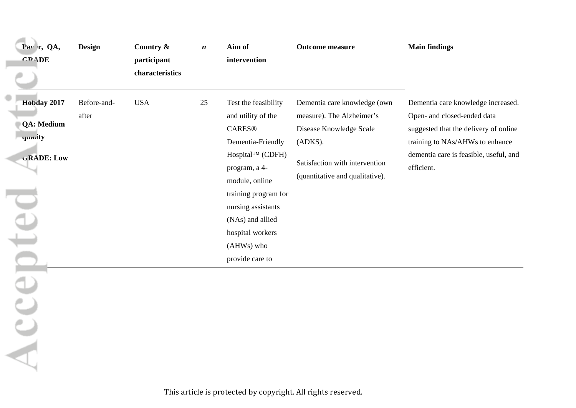| Par r, QA,<br><b>GRADE</b>                                                | Design               | Country &<br>participant<br>characteristics | $\boldsymbol{n}$ | Aim of<br>intervention                                                                                                                                                                                                                                         | <b>Outcome measure</b>                                                                                                                                               | <b>Main findings</b>                                                                                                                                                                                  |
|---------------------------------------------------------------------------|----------------------|---------------------------------------------|------------------|----------------------------------------------------------------------------------------------------------------------------------------------------------------------------------------------------------------------------------------------------------------|----------------------------------------------------------------------------------------------------------------------------------------------------------------------|-------------------------------------------------------------------------------------------------------------------------------------------------------------------------------------------------------|
| Hobday 2017<br><b>QA: Medium</b><br>quality<br><b>GRADE: Low</b><br>epted | Before-and-<br>after | <b>USA</b>                                  | 25               | Test the feasibility<br>and utility of the<br><b>CARES®</b><br>Dementia-Friendly<br>Hospital™ (CDFH)<br>program, a 4-<br>module, online<br>training program for<br>nursing assistants<br>(NAs) and allied<br>hospital workers<br>(AHWs) who<br>provide care to | Dementia care knowledge (own<br>measure). The Alzheimer's<br>Disease Knowledge Scale<br>(ADKS).<br>Satisfaction with intervention<br>(quantitative and qualitative). | Dementia care knowledge increased.<br>Open- and closed-ended data<br>suggested that the delivery of online<br>training to NAs/AHWs to enhance<br>dementia care is feasible, useful, and<br>efficient. |
| ACCO                                                                      |                      |                                             |                  |                                                                                                                                                                                                                                                                |                                                                                                                                                                      |                                                                                                                                                                                                       |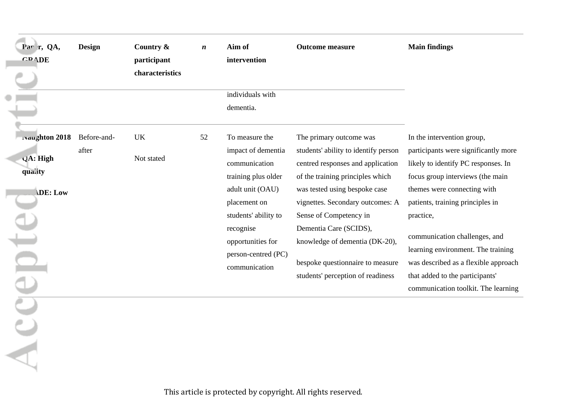| Par r, QA,<br><b>GRADE</b>                                       | <b>Design</b>        | Country &<br>participant<br>characteristics | $\boldsymbol{n}$ | Aim of<br>intervention<br>individuals with<br>dementia.                                                                                                                                                            | <b>Outcome measure</b>                                                                                                                                                                                                                                                                                                                                                       | <b>Main findings</b>                                                                                                                                                                                                                                                                                                                                                                                                   |
|------------------------------------------------------------------|----------------------|---------------------------------------------|------------------|--------------------------------------------------------------------------------------------------------------------------------------------------------------------------------------------------------------------|------------------------------------------------------------------------------------------------------------------------------------------------------------------------------------------------------------------------------------------------------------------------------------------------------------------------------------------------------------------------------|------------------------------------------------------------------------------------------------------------------------------------------------------------------------------------------------------------------------------------------------------------------------------------------------------------------------------------------------------------------------------------------------------------------------|
| <b>Ivaughton 2018</b><br>$QA$ : High<br>quality<br>DE: Low<br>DU | Before-and-<br>after | UK<br>Not stated                            | 52               | To measure the<br>impact of dementia<br>communication<br>training plus older<br>adult unit (OAU)<br>placement on<br>students' ability to<br>recognise<br>opportunities for<br>person-centred (PC)<br>communication | The primary outcome was<br>students' ability to identify person<br>centred responses and application<br>of the training principles which<br>was tested using bespoke case<br>vignettes. Secondary outcomes: A<br>Sense of Competency in<br>Dementia Care (SCIDS),<br>knowledge of dementia (DK-20),<br>bespoke questionnaire to measure<br>students' perception of readiness | In the intervention group,<br>participants were significantly more<br>likely to identify PC responses. In<br>focus group interviews (the main<br>themes were connecting with<br>patients, training principles in<br>practice,<br>communication challenges, and<br>learning environment. The training<br>was described as a flexible approach<br>that added to the participants'<br>communication toolkit. The learning |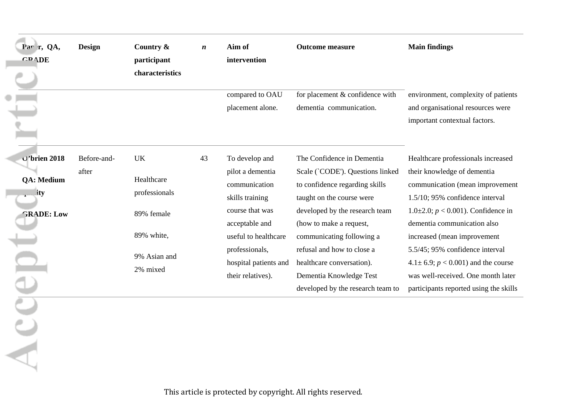| <b>GRADE</b>                                                                                 | participant                                                                                      | $\boldsymbol{n}$ | Aim of<br>intervention                                                                                                                                                                              | <b>Outcome measure</b>                                                                                                                                                                                                                                                                                                                             | <b>Main findings</b>                                                                                                                                                                                                                                                                                                                                                                                                        |
|----------------------------------------------------------------------------------------------|--------------------------------------------------------------------------------------------------|------------------|-----------------------------------------------------------------------------------------------------------------------------------------------------------------------------------------------------|----------------------------------------------------------------------------------------------------------------------------------------------------------------------------------------------------------------------------------------------------------------------------------------------------------------------------------------------------|-----------------------------------------------------------------------------------------------------------------------------------------------------------------------------------------------------------------------------------------------------------------------------------------------------------------------------------------------------------------------------------------------------------------------------|
|                                                                                              | characteristics                                                                                  |                  |                                                                                                                                                                                                     |                                                                                                                                                                                                                                                                                                                                                    |                                                                                                                                                                                                                                                                                                                                                                                                                             |
|                                                                                              |                                                                                                  |                  | compared to OAU<br>placement alone.                                                                                                                                                                 | for placement & confidence with<br>dementia communication.                                                                                                                                                                                                                                                                                         | environment, complexity of patients<br>and organisational resources were<br>important contextual factors.                                                                                                                                                                                                                                                                                                                   |
| O'brien 2018<br>Before-and-<br>after<br><b>QA: Medium</b><br><i>ity</i><br><b>GRADE: Low</b> | <b>UK</b><br>Healthcare<br>professionals<br>89% female<br>89% white,<br>9% Asian and<br>2% mixed | 43               | To develop and<br>pilot a dementia<br>communication<br>skills training<br>course that was<br>acceptable and<br>useful to healthcare<br>professionals,<br>hospital patients and<br>their relatives). | The Confidence in Dementia<br>Scale (`CODE'). Questions linked<br>to confidence regarding skills<br>taught on the course were<br>developed by the research team<br>(how to make a request,<br>communicating following a<br>refusal and how to close a<br>healthcare conversation).<br>Dementia Knowledge Test<br>developed by the research team to | Healthcare professionals increased<br>their knowledge of dementia<br>communication (mean improvement<br>1.5/10; 95% confidence interval<br>1.0 $\pm$ 2.0; <i>p</i> < 0.001). Confidence in<br>dementia communication also<br>increased (mean improvement<br>5.5/45; 95% confidence interval<br>$4.1 \pm 6.9$ ; $p < 0.001$ ) and the course<br>was well-received. One month later<br>participants reported using the skills |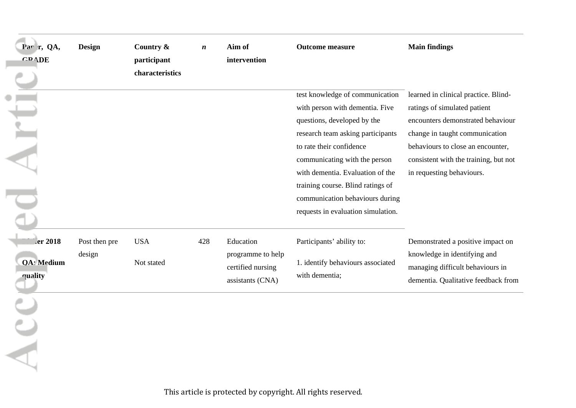| Par r, QA,         | <b>Design</b> | Country &       | $\boldsymbol{n}$ | Aim of            | <b>Outcome measure</b>             | <b>Main findings</b>                  |
|--------------------|---------------|-----------------|------------------|-------------------|------------------------------------|---------------------------------------|
| <b>GRADE</b>       |               | participant     |                  | intervention      |                                    |                                       |
|                    |               | characteristics |                  |                   |                                    |                                       |
|                    |               |                 |                  |                   | test knowledge of communication    | learned in clinical practice. Blind-  |
|                    |               |                 |                  |                   | with person with dementia. Five    | ratings of simulated patient          |
|                    |               |                 |                  |                   | questions, developed by the        | encounters demonstrated behaviour     |
|                    |               |                 |                  |                   | research team asking participants  | change in taught communication        |
|                    |               |                 |                  |                   | to rate their confidence           | behaviours to close an encounter,     |
|                    |               |                 |                  |                   | communicating with the person      | consistent with the training, but not |
|                    |               |                 |                  |                   | with dementia. Evaluation of the   | in requesting behaviours.             |
|                    |               |                 |                  |                   | training course. Blind ratings of  |                                       |
|                    |               |                 |                  |                   | communication behaviours during    |                                       |
|                    |               |                 |                  |                   | requests in evaluation simulation. |                                       |
|                    |               |                 |                  |                   |                                    |                                       |
| er 2018            | Post then pre | <b>USA</b>      | 428              | Education         | Participants' ability to:          | Demonstrated a positive impact on     |
|                    | design        |                 |                  | programme to help |                                    | knowledge in identifying and          |
| <b>OA</b> : Medium |               | Not stated      |                  | certified nursing | 1. identify behaviours associated  | managing difficult behaviours in      |
| quality            |               |                 |                  | assistants (CNA)  | with dementia;                     | dementia. Qualitative feedback from   |
|                    |               |                 |                  |                   |                                    |                                       |
|                    |               |                 |                  |                   |                                    |                                       |
|                    |               |                 |                  |                   |                                    |                                       |
|                    |               |                 |                  |                   |                                    |                                       |
|                    |               |                 |                  |                   |                                    |                                       |
|                    |               |                 |                  |                   |                                    |                                       |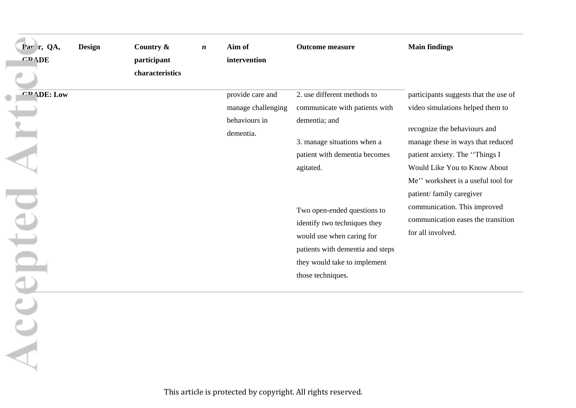| Par r, QA,<br><b>GRADE</b> | <b>Design</b> | Country &<br>participant<br>characteristics | $\boldsymbol{n}$ | Aim of<br>intervention                                               | <b>Outcome measure</b>                                                                                                                                                            | <b>Main findings</b>                                                                                                                                                                                                                                                               |
|----------------------------|---------------|---------------------------------------------|------------------|----------------------------------------------------------------------|-----------------------------------------------------------------------------------------------------------------------------------------------------------------------------------|------------------------------------------------------------------------------------------------------------------------------------------------------------------------------------------------------------------------------------------------------------------------------------|
| <b>CRADE: Low</b>          |               |                                             |                  | provide care and<br>manage challenging<br>behaviours in<br>dementia. | 2. use different methods to<br>communicate with patients with<br>dementia; and<br>3. manage situations when a<br>patient with dementia becomes<br>agitated.                       | participants suggests that the use of<br>video simulations helped them to<br>recognize the behaviours and<br>manage these in ways that reduced<br>patient anxiety. The "Things I<br>Would Like You to Know About<br>Me" worksheet is a useful tool for<br>patient/family caregiver |
| epted /                    |               |                                             |                  |                                                                      | Two open-ended questions to<br>identify two techniques they<br>would use when caring for<br>patients with dementia and steps<br>they would take to implement<br>those techniques. | communication. This improved<br>communication eases the transition<br>for all involved.                                                                                                                                                                                            |
|                            |               |                                             |                  |                                                                      |                                                                                                                                                                                   |                                                                                                                                                                                                                                                                                    |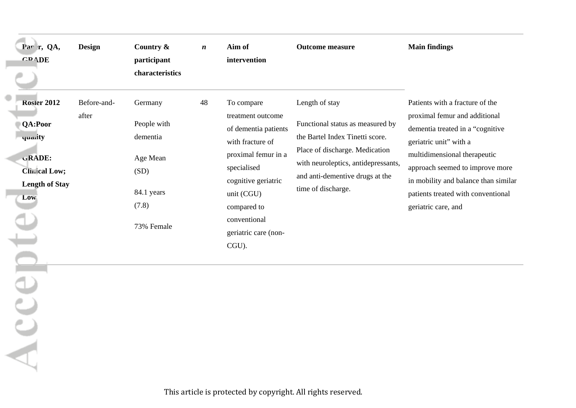| Par r, QA,<br><b>GRADE</b>                                                                                              | <b>Design</b>        | Country &<br>participant<br>characteristics                                                 | $\boldsymbol{n}$ | Aim of<br>intervention                                                                                                                                                                                                 | <b>Outcome measure</b>                                                                                                                                                                                                  | <b>Main findings</b>                                                                                                                                                                                                                                                                                   |
|-------------------------------------------------------------------------------------------------------------------------|----------------------|---------------------------------------------------------------------------------------------|------------------|------------------------------------------------------------------------------------------------------------------------------------------------------------------------------------------------------------------------|-------------------------------------------------------------------------------------------------------------------------------------------------------------------------------------------------------------------------|--------------------------------------------------------------------------------------------------------------------------------------------------------------------------------------------------------------------------------------------------------------------------------------------------------|
| <b>Rosler 2012</b><br><b>QA:Poor</b><br>quality<br>GRADE:<br><b>Clinical Low;</b><br><b>Length of Stay</b><br>Low<br>DU | Before-and-<br>after | Germany<br>People with<br>dementia<br>Age Mean<br>(SD)<br>84.1 years<br>(7.8)<br>73% Female | 48               | To compare<br>treatment outcome<br>of dementia patients<br>with fracture of<br>proximal femur in a<br>specialised<br>cognitive geriatric<br>unit (CGU)<br>compared to<br>conventional<br>geriatric care (non-<br>CGU). | Length of stay<br>Functional status as measured by<br>the Bartel Index Tinetti score.<br>Place of discharge. Medication<br>with neuroleptics, antidepressants,<br>and anti-dementive drugs at the<br>time of discharge. | Patients with a fracture of the<br>proximal femur and additional<br>dementia treated in a "cognitive<br>geriatric unit" with a<br>multidimensional therapeutic<br>approach seemed to improve more<br>in mobility and balance than similar<br>patients treated with conventional<br>geriatric care, and |
| ACCE                                                                                                                    |                      |                                                                                             |                  |                                                                                                                                                                                                                        |                                                                                                                                                                                                                         |                                                                                                                                                                                                                                                                                                        |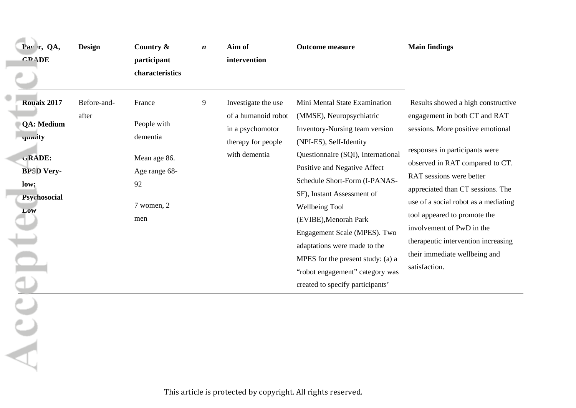| Par r, QA,<br><b>GRADE</b>                                                                                              | <b>Design</b>        | Country &<br>participant<br>characteristics                                                   | $\boldsymbol{n}$ | Aim of<br>intervention                                                                                | <b>Outcome measure</b>                                                                                                                                                                                                                                                                                                                                                                                                                                                             | <b>Main findings</b>                                                                                                                                                                                                                                                                                                                                                                                                                         |
|-------------------------------------------------------------------------------------------------------------------------|----------------------|-----------------------------------------------------------------------------------------------|------------------|-------------------------------------------------------------------------------------------------------|------------------------------------------------------------------------------------------------------------------------------------------------------------------------------------------------------------------------------------------------------------------------------------------------------------------------------------------------------------------------------------------------------------------------------------------------------------------------------------|----------------------------------------------------------------------------------------------------------------------------------------------------------------------------------------------------------------------------------------------------------------------------------------------------------------------------------------------------------------------------------------------------------------------------------------------|
| <b>Rouaix 2017</b><br><b>QA: Medium</b><br>quarity<br>GRADE:<br><b>BPSD Very-</b><br>low;<br>Psychosocial<br><b>LOW</b> | Before-and-<br>after | France<br>People with<br>dementia<br>Mean age 86.<br>Age range 68-<br>92<br>7 women, 2<br>men | 9                | Investigate the use<br>of a humanoid robot<br>in a psychomotor<br>therapy for people<br>with dementia | Mini Mental State Examination<br>(MMSE), Neuropsychiatric<br>Inventory-Nursing team version<br>(NPI-ES), Self-Identity<br>Questionnaire (SQI), International<br>Positive and Negative Affect<br>Schedule Short-Form (I-PANAS-<br>SF), Instant Assessment of<br>Wellbeing Tool<br>(EVIBE), Menorah Park<br>Engagement Scale (MPES). Two<br>adaptations were made to the<br>MPES for the present study: (a) a<br>"robot engagement" category was<br>created to specify participants' | Results showed a high constructive<br>engagement in both CT and RAT<br>sessions. More positive emotional<br>responses in participants were<br>observed in RAT compared to CT.<br>RAT sessions were better<br>appreciated than CT sessions. The<br>use of a social robot as a mediating<br>tool appeared to promote the<br>involvement of PwD in the<br>therapeutic intervention increasing<br>their immediate wellbeing and<br>satisfaction. |
|                                                                                                                         |                      |                                                                                               |                  |                                                                                                       |                                                                                                                                                                                                                                                                                                                                                                                                                                                                                    |                                                                                                                                                                                                                                                                                                                                                                                                                                              |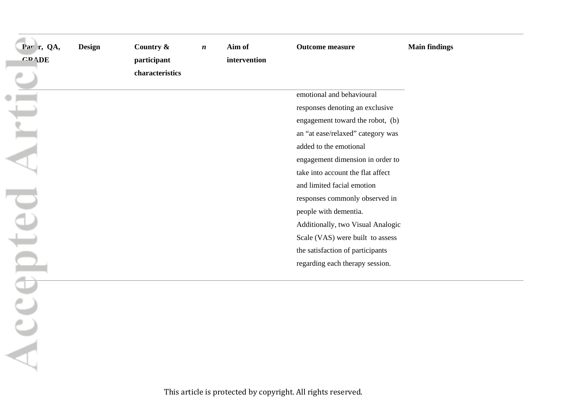| Par r, QA,     | Design | Country &       | $\boldsymbol{n}$ | Aim of       | <b>Outcome measure</b>            | <b>Main findings</b> |
|----------------|--------|-----------------|------------------|--------------|-----------------------------------|----------------------|
| <b>GRADE</b>   |        | participant     |                  | intervention |                                   |                      |
|                |        | characteristics |                  |              |                                   |                      |
|                |        |                 |                  |              | emotional and behavioural         |                      |
|                |        |                 |                  |              | responses denoting an exclusive   |                      |
| Arti           |        |                 |                  |              | engagement toward the robot, (b)  |                      |
|                |        |                 |                  |              | an "at ease/relaxed" category was |                      |
|                |        |                 |                  |              | added to the emotional            |                      |
|                |        |                 |                  |              | engagement dimension in order to  |                      |
|                |        |                 |                  |              | take into account the flat affect |                      |
|                |        |                 |                  |              | and limited facial emotion        |                      |
|                |        |                 |                  |              | responses commonly observed in    |                      |
|                |        |                 |                  |              | people with dementia.             |                      |
|                |        |                 |                  |              | Additionally, two Visual Analogic |                      |
|                |        |                 |                  |              | Scale (VAS) were built to assess  |                      |
|                |        |                 |                  |              | the satisfaction of participants  |                      |
|                |        |                 |                  |              | regarding each therapy session.   |                      |
| repted         |        |                 |                  |              |                                   |                      |
|                |        |                 |                  |              |                                   |                      |
|                |        |                 |                  |              |                                   |                      |
| $\overline{A}$ |        |                 |                  |              |                                   |                      |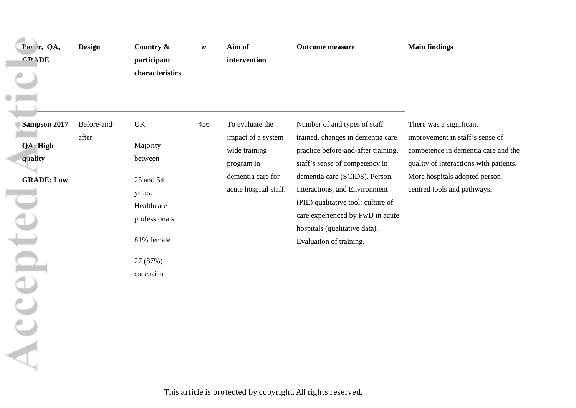| Par r, QA,<br><b>GRADE</b>                                                    | <b>Design</b>        | Country &<br>participant<br>characteristics                                                                            | $\boldsymbol{n}$ | Aim of<br>intervention                                                                                             | <b>Outcome measure</b>                                                                                                                                                                                                                                                                                                                              | <b>Main findings</b>                                                                                                                                                                                        |
|-------------------------------------------------------------------------------|----------------------|------------------------------------------------------------------------------------------------------------------------|------------------|--------------------------------------------------------------------------------------------------------------------|-----------------------------------------------------------------------------------------------------------------------------------------------------------------------------------------------------------------------------------------------------------------------------------------------------------------------------------------------------|-------------------------------------------------------------------------------------------------------------------------------------------------------------------------------------------------------------|
| Sampson 2017<br>$QA \cdot$ High<br>quality<br><b>GRADE: Low</b><br>ept<br>ACC | Before-and-<br>after | UK<br>Majority<br>between<br>25 and 54<br>years.<br>Healthcare<br>professionals<br>81% female<br>27 (87%)<br>caucasian | 456              | To evaluate the<br>impact of a system<br>wide training<br>program in<br>dementia care for<br>acute hospital staff. | Number of and types of staff<br>trained, changes in dementia care<br>practice before-and-after training,<br>staff's sense of competency in<br>dementia care (SCIDS). Person,<br>Interactions, and Environment<br>(PIE) qualitative tool: culture of<br>care experienced by PwD in acute<br>hospitals (qualitative data).<br>Evaluation of training. | There was a significant<br>improvement in staff's sense of<br>competence in dementia care and the<br>quality of interactions with patients.<br>More hospitals adopted person<br>centred tools and pathways. |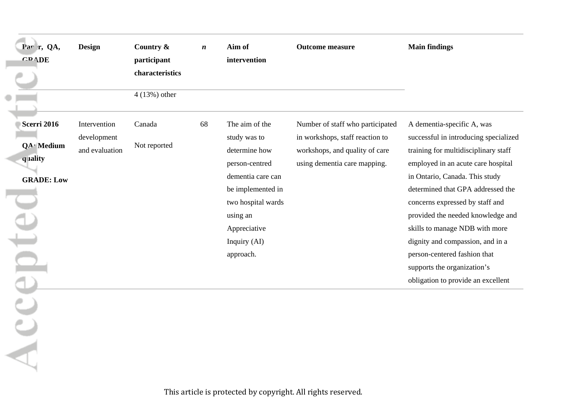| Par r, QA,         | Design         | Country &       | $\boldsymbol{n}$ | Aim of             | <b>Outcome measure</b>           | <b>Main findings</b>                  |
|--------------------|----------------|-----------------|------------------|--------------------|----------------------------------|---------------------------------------|
| <b>GRADE</b>       |                | participant     |                  | intervention       |                                  |                                       |
|                    |                | characteristics |                  |                    |                                  |                                       |
|                    |                | $4(13%)$ other  |                  |                    |                                  |                                       |
| <b>Scerri 2016</b> | Intervention   | Canada          | 68               | The aim of the     | Number of staff who participated | A dementia-specific A, was            |
|                    | development    |                 |                  | study was to       | in workshops, staff reaction to  | successful in introducing specialized |
| QA · Medium        | and evaluation | Not reported    |                  | determine how      | workshops, and quality of care   | training for multidisciplinary staff  |
| quality            |                |                 |                  | person-centred     | using dementia care mapping.     | employed in an acute care hospital    |
| <b>GRADE: Low</b>  |                |                 |                  | dementia care can  |                                  | in Ontario, Canada. This study        |
|                    |                |                 |                  | be implemented in  |                                  | determined that GPA addressed the     |
|                    |                |                 |                  | two hospital wards |                                  | concerns expressed by staff and       |
|                    |                |                 |                  | using an           |                                  | provided the needed knowledge and     |
| pte                |                |                 |                  | Appreciative       |                                  | skills to manage NDB with more        |
|                    |                |                 |                  | Inquiry (AI)       |                                  | dignity and compassion, and in a      |
|                    |                |                 |                  | approach.          |                                  | person-centered fashion that          |
|                    |                |                 |                  |                    |                                  | supports the organization's           |
|                    |                |                 |                  |                    |                                  | obligation to provide an excellent    |
|                    |                |                 |                  |                    |                                  |                                       |
|                    |                |                 |                  |                    |                                  |                                       |
|                    |                |                 |                  |                    |                                  |                                       |
|                    |                |                 |                  |                    |                                  |                                       |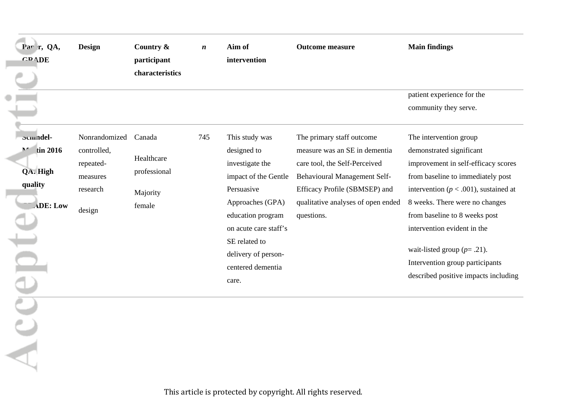| Par r, QA,<br><b>GRADE</b>                                                          | <b>Design</b>                                                               | Country &<br>participant<br>characteristics                | $\boldsymbol{n}$ | Aim of<br>intervention                                                                                                                                                                                                         | <b>Outcome measure</b>                                                                                                                                                                                           | <b>Main findings</b>                                                                                                                                                                                                                                                                                                                                                                       |
|-------------------------------------------------------------------------------------|-----------------------------------------------------------------------------|------------------------------------------------------------|------------------|--------------------------------------------------------------------------------------------------------------------------------------------------------------------------------------------------------------------------------|------------------------------------------------------------------------------------------------------------------------------------------------------------------------------------------------------------------|--------------------------------------------------------------------------------------------------------------------------------------------------------------------------------------------------------------------------------------------------------------------------------------------------------------------------------------------------------------------------------------------|
|                                                                                     |                                                                             |                                                            |                  |                                                                                                                                                                                                                                |                                                                                                                                                                                                                  | patient experience for the<br>community they serve.                                                                                                                                                                                                                                                                                                                                        |
| pcmndel-<br>tin 2016<br>$\mathbf{M}$<br>QA. High<br>quality<br><b>ADE: Low</b><br>Ξ | Nonrandomized<br>controlled,<br>repeated-<br>measures<br>research<br>design | Canada<br>Healthcare<br>professional<br>Majority<br>female | 745              | This study was<br>designed to<br>investigate the<br>impact of the Gentle<br>Persuasive<br>Approaches (GPA)<br>education program<br>on acute care staff's<br>SE related to<br>delivery of person-<br>centered dementia<br>care. | The primary staff outcome<br>measure was an SE in dementia<br>care tool, the Self-Perceived<br>Behavioural Management Self-<br>Efficacy Profile (SBMSEP) and<br>qualitative analyses of open ended<br>questions. | The intervention group<br>demonstrated significant<br>improvement in self-efficacy scores<br>from baseline to immediately post<br>intervention ( $p < .001$ ), sustained at<br>8 weeks. There were no changes<br>from baseline to 8 weeks post<br>intervention evident in the<br>wait-listed group $(p= .21)$ .<br>Intervention group participants<br>described positive impacts including |
|                                                                                     |                                                                             |                                                            |                  |                                                                                                                                                                                                                                |                                                                                                                                                                                                                  |                                                                                                                                                                                                                                                                                                                                                                                            |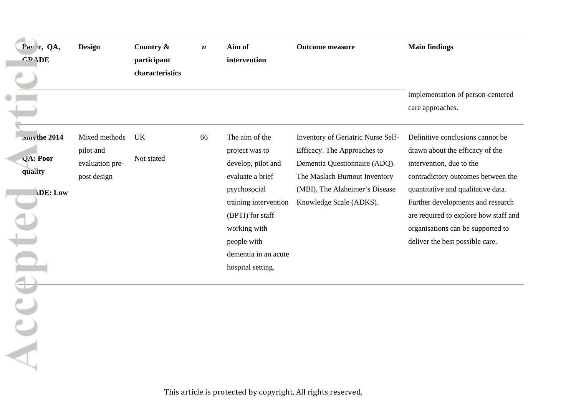| Par r, QA,<br><b>GRADE</b>                                            | <b>Design</b>                                                | Country &<br>participant<br>characteristics | $\boldsymbol{n}$ | Aim of<br>intervention                                                                                                                                                                                              | <b>Outcome measure</b>                                                                                                                                                                           | <b>Main findings</b>                                                                                                                                                                                                                                                                                                              |
|-----------------------------------------------------------------------|--------------------------------------------------------------|---------------------------------------------|------------------|---------------------------------------------------------------------------------------------------------------------------------------------------------------------------------------------------------------------|--------------------------------------------------------------------------------------------------------------------------------------------------------------------------------------------------|-----------------------------------------------------------------------------------------------------------------------------------------------------------------------------------------------------------------------------------------------------------------------------------------------------------------------------------|
|                                                                       |                                                              |                                             |                  |                                                                                                                                                                                                                     |                                                                                                                                                                                                  | implementation of person-centered<br>care approaches.                                                                                                                                                                                                                                                                             |
| <b>Smy</b> the 2014<br>$QA:$ Poor<br>quality<br>DE: Low<br><b>HOT</b> | Mixed methods<br>pilot and<br>evaluation pre-<br>post design | UK<br>Not stated                            | 66               | The aim of the<br>project was to<br>develop, pilot and<br>evaluate a brief<br>psychosocial<br>training intervention<br>(BPTI) for staff<br>working with<br>people with<br>dementia in an acute<br>hospital setting. | Inventory of Geriatric Nurse Self-<br>Efficacy. The Approaches to<br>Dementia Questionnaire (ADQ).<br>The Maslach Burnout Inventory<br>(MBI). The Alzheimer's Disease<br>Knowledge Scale (ADKS). | Definitive conclusions cannot be<br>drawn about the efficacy of the<br>intervention, due to the<br>contradictory outcomes between the<br>quantitative and qualitative data.<br>Further developments and research<br>are required to explore how staff and<br>organisations can be supported to<br>deliver the best possible care. |
|                                                                       |                                                              |                                             |                  |                                                                                                                                                                                                                     |                                                                                                                                                                                                  |                                                                                                                                                                                                                                                                                                                                   |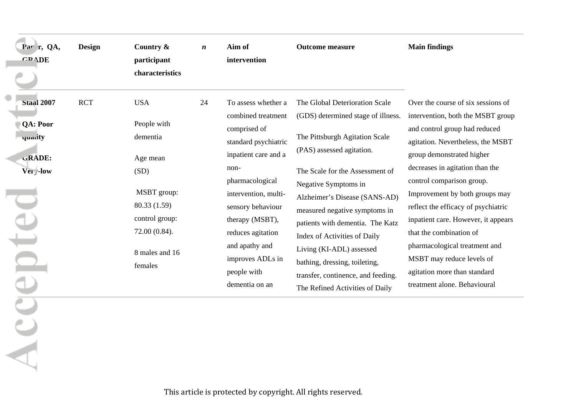| Par r, QA,<br><b>GRADE</b>                                                         | <b>Design</b> | Country &<br>participant                                                                                                                                 | $\boldsymbol{n}$ | Aim of<br>intervention                                                                                                                                                                                                                                                                           | <b>Outcome measure</b>                                                                                                                                                                                                                                                                                                                                                                                                                                                     | <b>Main findings</b>                                                                                                                                                                                                                                                                                                                                                                                                                                                                                                |
|------------------------------------------------------------------------------------|---------------|----------------------------------------------------------------------------------------------------------------------------------------------------------|------------------|--------------------------------------------------------------------------------------------------------------------------------------------------------------------------------------------------------------------------------------------------------------------------------------------------|----------------------------------------------------------------------------------------------------------------------------------------------------------------------------------------------------------------------------------------------------------------------------------------------------------------------------------------------------------------------------------------------------------------------------------------------------------------------------|---------------------------------------------------------------------------------------------------------------------------------------------------------------------------------------------------------------------------------------------------------------------------------------------------------------------------------------------------------------------------------------------------------------------------------------------------------------------------------------------------------------------|
|                                                                                    |               | characteristics                                                                                                                                          |                  |                                                                                                                                                                                                                                                                                                  |                                                                                                                                                                                                                                                                                                                                                                                                                                                                            |                                                                                                                                                                                                                                                                                                                                                                                                                                                                                                                     |
| Staal 2007<br><b>QA: Poor</b><br>quarity<br>GRADE:<br>Ver <sub>y</sub> -low<br>pte | <b>RCT</b>    | <b>USA</b><br>People with<br>dementia<br>Age mean<br>(SD)<br>MSBT group:<br>80.33 (1.59)<br>control group:<br>72.00 (0.84).<br>8 males and 16<br>females | 24               | To assess whether a<br>combined treatment<br>comprised of<br>standard psychiatric<br>inpatient care and a<br>non-<br>pharmacological<br>intervention, multi-<br>sensory behaviour<br>therapy (MSBT),<br>reduces agitation<br>and apathy and<br>improves ADLs in<br>people with<br>dementia on an | The Global Deterioration Scale<br>(GDS) determined stage of illness.<br>The Pittsburgh Agitation Scale<br>(PAS) assessed agitation.<br>The Scale for the Assessment of<br>Negative Symptoms in<br>Alzheimer's Disease (SANS-AD)<br>measured negative symptoms in<br>patients with dementia. The Katz<br>Index of Activities of Daily<br>Living (KI-ADL) assessed<br>bathing, dressing, toileting,<br>transfer, continence, and feeding.<br>The Refined Activities of Daily | Over the course of six sessions of<br>intervention, both the MSBT group<br>and control group had reduced<br>agitation. Nevertheless, the MSBT<br>group demonstrated higher<br>decreases in agitation than the<br>control comparison group.<br>Improvement by both groups may<br>reflect the efficacy of psychiatric<br>inpatient care. However, it appears<br>that the combination of<br>pharmacological treatment and<br>MSBT may reduce levels of<br>agitation more than standard<br>treatment alone. Behavioural |
|                                                                                    |               |                                                                                                                                                          |                  |                                                                                                                                                                                                                                                                                                  |                                                                                                                                                                                                                                                                                                                                                                                                                                                                            |                                                                                                                                                                                                                                                                                                                                                                                                                                                                                                                     |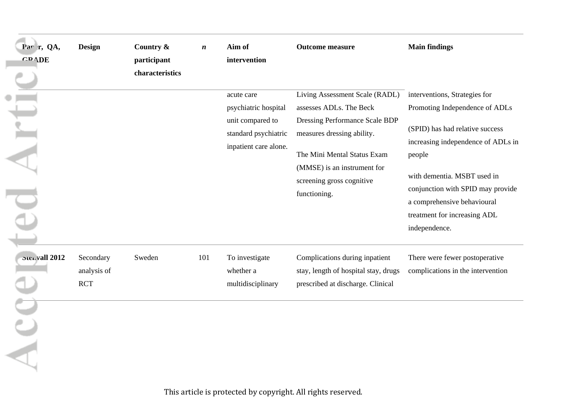| Par r, QA,<br><b>GRADE</b> | <b>Design</b>                          | Country &<br>participant<br>characteristics | $\boldsymbol{n}$ | Aim of<br>intervention                                                                                  | <b>Outcome measure</b>                                                                                                                                                                                                               | <b>Main findings</b>                                                                                                                                                                                                                                                                                   |
|----------------------------|----------------------------------------|---------------------------------------------|------------------|---------------------------------------------------------------------------------------------------------|--------------------------------------------------------------------------------------------------------------------------------------------------------------------------------------------------------------------------------------|--------------------------------------------------------------------------------------------------------------------------------------------------------------------------------------------------------------------------------------------------------------------------------------------------------|
| 드<br>$\overline{4}$        |                                        |                                             |                  | acute care<br>psychiatric hospital<br>unit compared to<br>standard psychiatric<br>inpatient care alone. | Living Assessment Scale (RADL)<br>assesses ADLs. The Beck<br>Dressing Performance Scale BDP<br>measures dressing ability.<br>The Mini Mental Status Exam<br>(MMSE) is an instrument for<br>screening gross cognitive<br>functioning. | interventions, Strategies for<br>Promoting Independence of ADLs<br>(SPID) has had relative success<br>increasing independence of ADLs in<br>people<br>with dementia. MSBT used in<br>conjunction with SPID may provide<br>a comprehensive behavioural<br>treatment for increasing ADL<br>independence. |
| Stenvall 2012              | Secondary<br>analysis of<br><b>RCT</b> | Sweden                                      | 101              | To investigate<br>whether a<br>multidisciplinary                                                        | Complications during inpatient<br>stay, length of hospital stay, drugs<br>prescribed at discharge. Clinical                                                                                                                          | There were fewer postoperative<br>complications in the intervention                                                                                                                                                                                                                                    |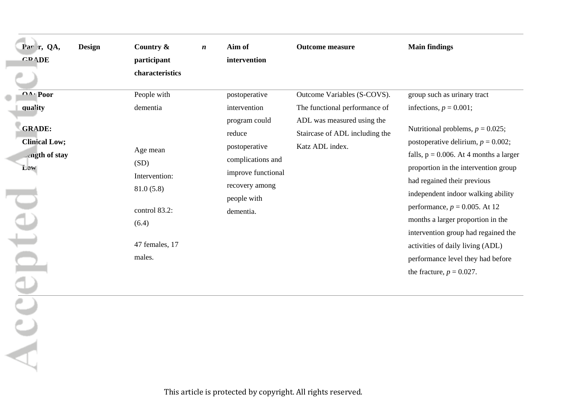| Country &                                                                                                        | $\boldsymbol{n}$ | Aim of                                                                                                                                            | <b>Outcome measure</b>                                                                                           | <b>Main findings</b>                                                                                                                                                                                                                                                                                                                                                                                                                                                                        |
|------------------------------------------------------------------------------------------------------------------|------------------|---------------------------------------------------------------------------------------------------------------------------------------------------|------------------------------------------------------------------------------------------------------------------|---------------------------------------------------------------------------------------------------------------------------------------------------------------------------------------------------------------------------------------------------------------------------------------------------------------------------------------------------------------------------------------------------------------------------------------------------------------------------------------------|
| participant                                                                                                      |                  | intervention                                                                                                                                      |                                                                                                                  |                                                                                                                                                                                                                                                                                                                                                                                                                                                                                             |
| characteristics                                                                                                  |                  |                                                                                                                                                   |                                                                                                                  |                                                                                                                                                                                                                                                                                                                                                                                                                                                                                             |
| People with                                                                                                      |                  | postoperative                                                                                                                                     | Outcome Variables (S-COVS).                                                                                      | group such as urinary tract                                                                                                                                                                                                                                                                                                                                                                                                                                                                 |
| dementia<br>Age mean<br>(SD)<br>Intervention:<br>81.0(5.8)<br>control 83.2:<br>(6.4)<br>47 females, 17<br>males. |                  | intervention<br>program could<br>reduce<br>postoperative<br>complications and<br>improve functional<br>recovery among<br>people with<br>dementia. | The functional performance of<br>ADL was measured using the<br>Staircase of ADL including the<br>Katz ADL index. | infections, $p = 0.001$ ;<br>Nutritional problems, $p = 0.025$ ;<br>postoperative delirium, $p = 0.002$ ;<br>falls, $p = 0.006$ . At 4 months a larger<br>proportion in the intervention group<br>had regained their previous<br>independent indoor walking ability<br>performance, $p = 0.005$ . At 12<br>months a larger proportion in the<br>intervention group had regained the<br>activities of daily living (ADL)<br>performance level they had before<br>the fracture, $p = 0.027$ . |
|                                                                                                                  |                  |                                                                                                                                                   |                                                                                                                  |                                                                                                                                                                                                                                                                                                                                                                                                                                                                                             |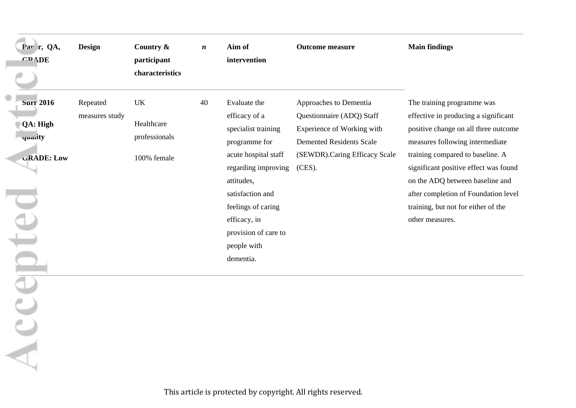| Par r, QA,<br><b>GRADE</b>                                           | Design                     | Country &<br>participant<br>characteristics             | $\boldsymbol{n}$ | Aim of<br>intervention                                                                                                                                                                                                                           | <b>Outcome measure</b>                                                                                                                                          | <b>Main findings</b>                                                                                                                                                                                                                                                                                                                                            |
|----------------------------------------------------------------------|----------------------------|---------------------------------------------------------|------------------|--------------------------------------------------------------------------------------------------------------------------------------------------------------------------------------------------------------------------------------------------|-----------------------------------------------------------------------------------------------------------------------------------------------------------------|-----------------------------------------------------------------------------------------------------------------------------------------------------------------------------------------------------------------------------------------------------------------------------------------------------------------------------------------------------------------|
| <b>Surr 2016</b><br>QA: High<br>quality<br><b>GRADE: Low</b><br>ente | Repeated<br>measures study | <b>UK</b><br>Healthcare<br>professionals<br>100% female | 40               | Evaluate the<br>efficacy of a<br>specialist training<br>programme for<br>acute hospital staff<br>regarding improving<br>attitudes,<br>satisfaction and<br>feelings of caring<br>efficacy, in<br>provision of care to<br>people with<br>dementia. | Approaches to Dementia<br>Questionnaire (ADQ) Staff<br>Experience of Working with<br><b>Demented Residents Scale</b><br>(SEWDR).Caring Efficacy Scale<br>(CES). | The training programme was<br>effective in producing a significant<br>positive change on all three outcome<br>measures following intermediate<br>training compared to baseline. A<br>significant positive effect was found<br>on the ADQ between baseline and<br>after completion of Foundation level<br>training, but not for either of the<br>other measures. |
| AC                                                                   |                            |                                                         |                  |                                                                                                                                                                                                                                                  |                                                                                                                                                                 |                                                                                                                                                                                                                                                                                                                                                                 |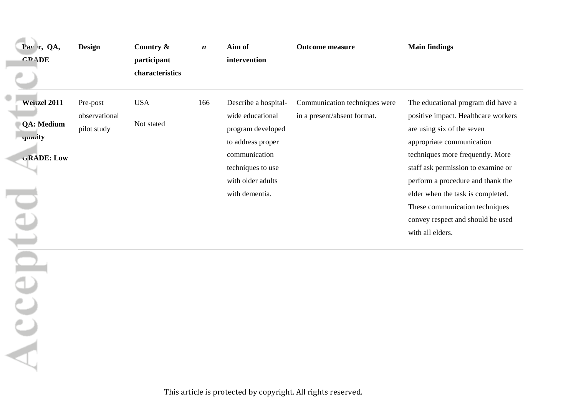| Par r, QA,<br><b>GRADE</b>                                        | <b>Design</b>                            | Country &<br>participant<br>characteristics | $\boldsymbol{n}$ | Aim of<br>intervention                                                                                                                                          | <b>Outcome measure</b>                                       | <b>Main findings</b>                                                                                                                                                                                                                                                                                                                                                                |
|-------------------------------------------------------------------|------------------------------------------|---------------------------------------------|------------------|-----------------------------------------------------------------------------------------------------------------------------------------------------------------|--------------------------------------------------------------|-------------------------------------------------------------------------------------------------------------------------------------------------------------------------------------------------------------------------------------------------------------------------------------------------------------------------------------------------------------------------------------|
| Weitzel 2011<br><b>QA: Medium</b><br>quality<br><b>GRADE: Low</b> | Pre-post<br>observational<br>pilot study | <b>USA</b><br>Not stated                    | 166              | Describe a hospital-<br>wide educational<br>program developed<br>to address proper<br>communication<br>techniques to use<br>with older adults<br>with dementia. | Communication techniques were<br>in a present/absent format. | The educational program did have a<br>positive impact. Healthcare workers<br>are using six of the seven<br>appropriate communication<br>techniques more frequently. More<br>staff ask permission to examine or<br>perform a procedure and thank the<br>elder when the task is completed.<br>These communication techniques<br>convey respect and should be used<br>with all elders. |
| epte<br>ACC                                                       |                                          |                                             |                  |                                                                                                                                                                 |                                                              |                                                                                                                                                                                                                                                                                                                                                                                     |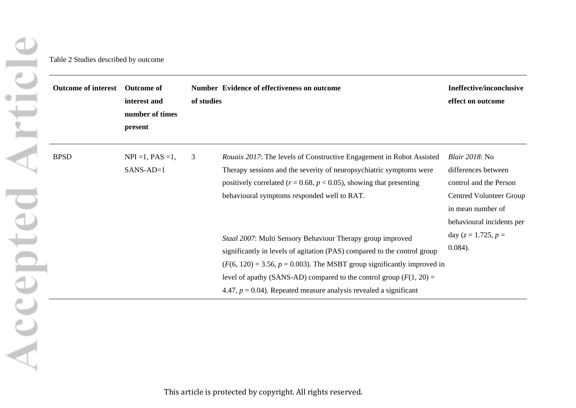<span id="page-52-0"></span>

| <b>Outcome of interest</b> | <b>Outcome of</b><br>interest and<br>number of times<br>present | of studies | <b>Number Evidence of effectiveness on outcome</b>                                                                                                                                                                                                                                                                                                                    | Ineffective/inconclusive<br>effect on outcome                                                                                                               |
|----------------------------|-----------------------------------------------------------------|------------|-----------------------------------------------------------------------------------------------------------------------------------------------------------------------------------------------------------------------------------------------------------------------------------------------------------------------------------------------------------------------|-------------------------------------------------------------------------------------------------------------------------------------------------------------|
| <b>BPSD</b>                | $NPI = 1$ , $PAS = 1$ ,<br>$SANS-AD=1$                          | 3          | <i>Rouaix 2017:</i> The levels of Constructive Engagement in Robot Assisted<br>Therapy sessions and the severity of neuropsychiatric symptoms were<br>positively correlated ( $r = 0.68$ , $p < 0.05$ ), showing that presenting<br>behavioural symptoms responded well to RAT.                                                                                       | <i>Blair 2018</i> : No<br>differences between<br>control and the Person<br><b>Centred Volunteer Group</b><br>in mean number of<br>behavioural incidents per |
|                            |                                                                 |            | Staal 2007: Multi Sensory Behaviour Therapy group improved<br>significantly in levels of agitation (PAS) compared to the control group<br>$(F(6, 120) = 3.56, p = 0.003)$ . The MSBT group significantly improved in<br>level of apathy (SANS-AD) compared to the control group $(F(1, 20) =$<br>4.47, $p = 0.04$ ). Repeated measure analysis revealed a significant | day ( $z = 1.725$ , $p =$<br>$0.084$ ).                                                                                                                     |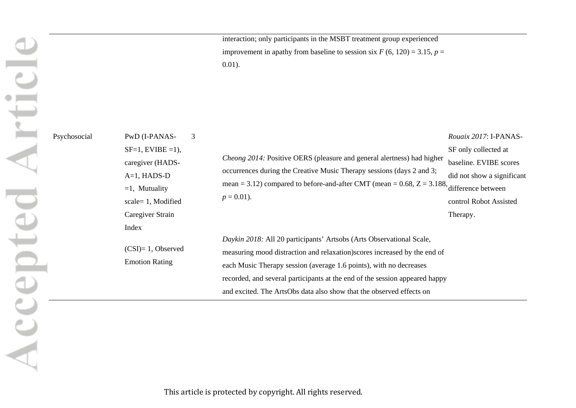interaction; only participants in the MSBT treatment group experienced improvement in apathy from baseline to session six  $F(6, 120) = 3.15$ ,  $p =$ 0.01).

Psychosocial PwD (I-PANAS- $SF=1$ , EVIBE =1), caregiver (HADS-A=1, HADS-D  $=1$ , Mutuality scale= 1, Modified Caregiver Strain Index (CSI)= 1, Observed Emotion Rating 3 *Cheong 2014:* Positive OERS (pleasure and general alertness) had higher occurrences during the Creative Music Therapy sessions (days 2 and 3; mean  $= 3.12$ ) compared to before-and-after CMT (mean  $= 0.68$ ,  $Z = 3.188$ , difference between  $p = 0.01$ ). *Daykin 2018:* All 20 participants' Artsobs (Arts Observational Scale, measuring mood distraction and relaxation)scores increased by the end of each Music Therapy session (average 1.6 points), with no decreases recorded, and several participants at the end of the session appeared happy and excited. The ArtsObs data also show that the observed effects on *Rouaix 2017*: I-PANAS-SF only collected at baseline. EVIBE scores did not show a significant control Robot Assisted Therapy.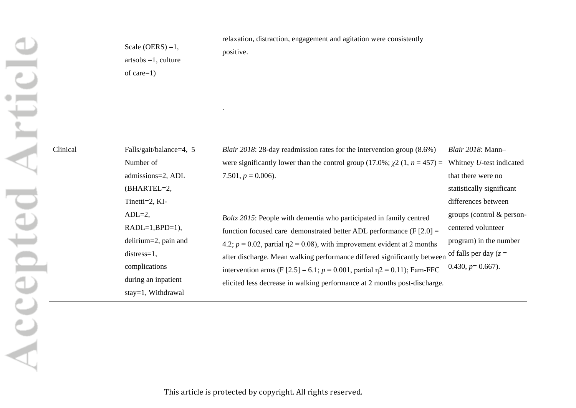Clinical

| Scale (OERS) = $1$ ,<br>$artsobs = 1$ , culture<br>of care $=1$ )                                                           | relaxation, distraction, engagement and agitation were consistently<br>positive.                                                                                                                                                                                                                                                                     |                                                                                                                                                                            |
|-----------------------------------------------------------------------------------------------------------------------------|------------------------------------------------------------------------------------------------------------------------------------------------------------------------------------------------------------------------------------------------------------------------------------------------------------------------------------------------------|----------------------------------------------------------------------------------------------------------------------------------------------------------------------------|
| Falls/gait/balance=4, 5<br>Number of<br>admissions=2, ADL<br>(BHARTEL=2,<br>Tinetti=2, KI-<br>$ADL=2$ ,<br>$RADL=1,BPD=1),$ | <i>Blair 2018</i> : 28-day readmission rates for the intervention group $(8.6%)$<br>were significantly lower than the control group (17.0%; $\chi$ 2 (1, <i>n</i> = 457) =<br>7.501, $p = 0.006$ ).<br>Boltz 2015: People with dementia who participated in family centred<br>function focused care demonstrated better ADL performance $(F [2.0] =$ | Blair 2018: Mann-<br>Whitney U-test indicated<br>that there were no<br>statistically significant<br>differences between<br>groups (control & person-<br>centered volunteer |
| delirium=2, pain and<br>$distress=1,$<br>complications<br>during an inpatient<br>stay=1, Withdrawal                         | 4.2; $p = 0.02$ , partial $p = 0.08$ ), with improvement evident at 2 months<br>after discharge. Mean walking performance differed significantly between<br>intervention arms (F [2.5] = 6.1; $p = 0.001$ , partial $\eta$ 2 = 0.11); Fam-FFC<br>elicited less decrease in walking performance at 2 months post-discharge.                           | program) in the number<br>of falls per day ( $z =$<br>$0.430, p=0.667$ ).                                                                                                  |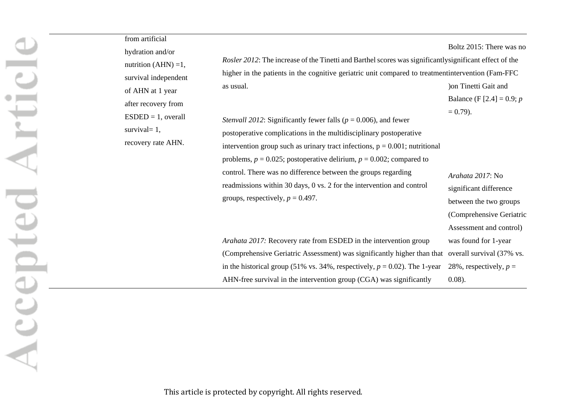| from artificial<br>hydration and/or                             | Rosler 2012: The increase of the Tinetti and Barthel scores was significantly significant effect of the                                                                                                                                                                                                                                                                                                                                                                                          | Boltz 2015: There was no                                                                                       |
|-----------------------------------------------------------------|--------------------------------------------------------------------------------------------------------------------------------------------------------------------------------------------------------------------------------------------------------------------------------------------------------------------------------------------------------------------------------------------------------------------------------------------------------------------------------------------------|----------------------------------------------------------------------------------------------------------------|
| nutrition $(AHN) = 1$ ,<br>survival independent                 | higher in the patients in the cognitive geriatric unit compared to treatment intervention (Fam-FFC)                                                                                                                                                                                                                                                                                                                                                                                              |                                                                                                                |
| of AHN at 1 year                                                | as usual.                                                                                                                                                                                                                                                                                                                                                                                                                                                                                        | ) on Tinetti Gait and                                                                                          |
| after recovery from                                             |                                                                                                                                                                                                                                                                                                                                                                                                                                                                                                  | Balance (F [2.4] = 0.9; <i>p</i>                                                                               |
| $ESDED = 1$ , overall<br>survival $= 1$ ,<br>recovery rate AHN. | <i>Stenvall 2012:</i> Significantly fewer falls ( $p = 0.006$ ), and fewer<br>postoperative complications in the multidisciplinary postoperative<br>intervention group such as urinary tract infections, $p = 0.001$ ; nutritional<br>problems, $p = 0.025$ ; postoperative delirium, $p = 0.002$ ; compared to<br>control. There was no difference between the groups regarding<br>readmissions within 30 days, 0 vs. 2 for the intervention and control<br>groups, respectively, $p = 0.497$ . | $= 0.79$ .<br>Arahata 2017: No<br>significant difference<br>between the two groups<br>(Comprehensive Geriatric |
|                                                                 | Arahata 2017: Recovery rate from ESDED in the intervention group<br>(Comprehensive Geriatric Assessment) was significantly higher than that overall survival (37% vs.<br>in the historical group (51% vs. 34%, respectively, $p = 0.02$ ). The 1-year<br>AHN-free survival in the intervention group (CGA) was significantly                                                                                                                                                                     | Assessment and control)<br>was found for 1-year<br>28%, respectively, $p =$<br>$0.08$ ).                       |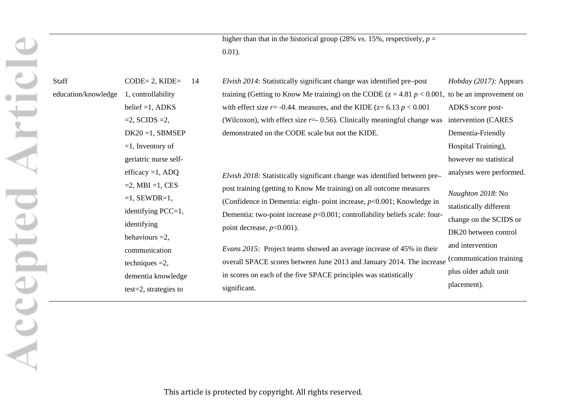higher than that in the historical group (28% vs. 15%, respectively,  $p =$ 0.01).

| Staff               | $CODE = 2$ , $KIDE =$<br>14 | Elvish 2014: Statistically significant change was identified pre-post            | <i>Hobday (2017):</i> Appears |
|---------------------|-----------------------------|----------------------------------------------------------------------------------|-------------------------------|
| education/knowledge | 1, controllability          | training (Getting to Know Me training) on the CODE ( $z = 4.81$ $p < 0.001$ ,    | to be an improvement on       |
|                     | belief $=1$ , ADKS          | with effect size $r = -0.44$ . measures, and the KIDE ( $z = 6.13$ $p < 0.001$ ) | ADKS score post-              |
|                     | $=2$ , SCIDS $=2$ ,         | (Wilcoxon), with effect size $r = -0.56$ ). Clinically meaningful change was     | intervention (CARES           |
|                     | $DK20 = 1$ , SBMSEP         | demonstrated on the CODE scale but not the KIDE.                                 | Dementia-Friendly             |
|                     | $=1$ , Inventory of         |                                                                                  | Hospital Training),           |
|                     | geriatric nurse self-       |                                                                                  | however no statistical        |
|                     | efficacy = $1, ADQ$         | Elvish 2018: Statistically significant change was identified between pre-        | analyses were performed.      |
|                     | $=2$ , MBI $=1$ , CES       | post training (getting to Know Me training) on all outcome measures              |                               |
|                     | $=1$ , SEWDR $=1$ ,         | (Confidence in Dementia: eight- point increase, $p<0.001$ ; Knowledge in         | <i>Naughton 2018</i> : No     |
|                     | identifying $PCC=1$ ,       | Dementia: two-point increase $p<0.001$ ; controllability beliefs scale: four-    | statistically different       |
|                     | identifying                 | point decrease, $p<0.001$ ).                                                     | change on the SCIDS or        |
|                     | behaviours $=2$ ,           |                                                                                  | DK20 between control          |
|                     | communication               | <i>Evans 2015</i> : Project teams showed an average increase of 45% in their     | and intervention              |
|                     | techniques $=2$ ,           | overall SPACE scores between June 2013 and January 2014. The increase            | (communication training       |
|                     | dementia knowledge          | in scores on each of the five SPACE principles was statistically                 | plus older adult unit         |
|                     | $test=2$ , strategies to    | significant.                                                                     | placement).                   |
|                     |                             |                                                                                  |                               |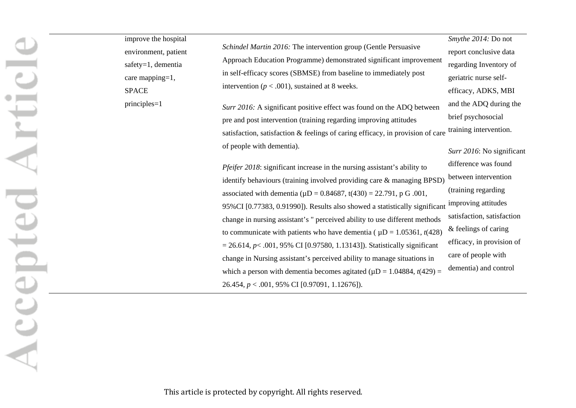improve the hospital environment, patient Accepted Articl safety=1, dementia care mapping=1, SPACE principles=1

*Schindel Martin 2016:* The intervention group (Gentle Persuasive Approach Education Programme) demonstrated significant improvement in self-efficacy scores (SBMSE) from baseline to immediately post intervention ( $p < .001$ ), sustained at 8 weeks. *Smythe 2014:* Do not report conclusive data

*Surr 2016:* A significant positive effect was found on the ADQ between pre and post intervention (training regarding improving attitudes satisfaction, satisfaction & feelings of caring efficacy, in provision of care of people with dementia).

*Pfeifer 2018*: significant increase in the nursing assistant's ability to identify behaviours (training involved providing care & managing BPSD) associated with dementia ( $\mu$ D = 0.84687, t(430) = 22.791, p G .001, 95%CI [0.77383, 0.91990]). Results also showed a statistically significant change in nursing assistant's " perceived ability to use different methods to communicate with patients who have dementia ( $\mu$ D = 1.05361, *t*(428) = 26.614, *p*< .001, 95% CI [0.97580, 1.13143]). Statistically significant change in Nursing assistant's perceived ability to manage situations in which a person with dementia becomes agitated ( $\mu$ D = 1.04884, *t*(429) = 26.454, *p* < .001, 95% CI [0.97091, 1.12676]).

regarding Inventory of geriatric nurse selfefficacy, ADKS, MBI and the ADQ during the brief psychosocial training intervention. *Surr 2016*: No significant difference was found between intervention (training regarding improving attitudes satisfaction, satisfaction & feelings of caring efficacy, in provision of care of people with dementia) and control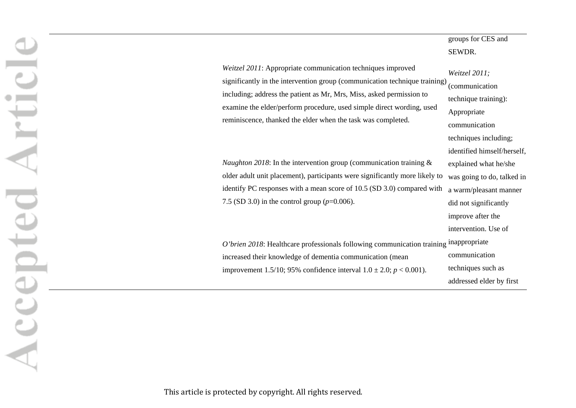# groups for CES and SEWDR.

| Weitzel 2011: Appropriate communication techniques improved<br>significantly in the intervention group (communication technique training)<br>including; address the patient as Mr, Mrs, Miss, asked permission to<br>examine the elder/perform procedure, used simple direct wording, used<br>reminiscence, thanked the elder when the task was completed. | Weitzel 2011;<br>(communication<br>technique training):<br>Appropriate |
|------------------------------------------------------------------------------------------------------------------------------------------------------------------------------------------------------------------------------------------------------------------------------------------------------------------------------------------------------------|------------------------------------------------------------------------|
|                                                                                                                                                                                                                                                                                                                                                            | communication                                                          |
|                                                                                                                                                                                                                                                                                                                                                            | techniques including;                                                  |
|                                                                                                                                                                                                                                                                                                                                                            | identified himself/herself,                                            |
| <i>Naughton 2018</i> : In the intervention group (communication training $\&$                                                                                                                                                                                                                                                                              | explained what he/she                                                  |
| older adult unit placement), participants were significantly more likely to                                                                                                                                                                                                                                                                                | was going to do, talked in                                             |
| identify PC responses with a mean score of 10.5 (SD 3.0) compared with                                                                                                                                                                                                                                                                                     | a warm/pleasant manner                                                 |
| 7.5 (SD 3.0) in the control group ( $p=0.006$ ).                                                                                                                                                                                                                                                                                                           | did not significantly                                                  |
|                                                                                                                                                                                                                                                                                                                                                            | improve after the                                                      |
|                                                                                                                                                                                                                                                                                                                                                            | intervention. Use of                                                   |
| O'brien 2018: Healthcare professionals following communication training inappropriate                                                                                                                                                                                                                                                                      |                                                                        |
| increased their knowledge of dementia communication (mean                                                                                                                                                                                                                                                                                                  | communication                                                          |
| improvement 1.5/10; 95% confidence interval $1.0 \pm 2.0$ ; $p < 0.001$ ).                                                                                                                                                                                                                                                                                 | techniques such as                                                     |
|                                                                                                                                                                                                                                                                                                                                                            | addressed elder by first                                               |

Accepted Articl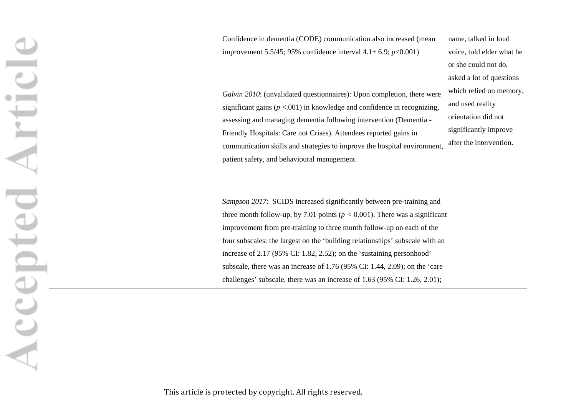Confidence in dementia (CODE) communication also increased (mean improvement 5.5/45; 95% confidence interval 4.1± 6.9; *p*<0.001)

*Galvin 2010*: (unvalidated questionnaires): Upon completion, there were significant gains  $(p < .001)$  in knowledge and confidence in recognizing assessing and managing dementia following intervention (Dementia - Friendly Hospitals: Care not Crises). Attendees reported gains in communication skills and strategies to improve the hospital environment, patient safety, and behavioural management.

name, talked in loud voice, told elder what he or she could not do, asked a lot of questions which relied on memory, and used reality orientation did not significantly improve after the intervention.

*Sampson 2017*: SCIDS increased significantly between pre-training and three month follow-up, by 7.01 points ( $p < 0.001$ ). There was a significant improvement from pre-training to three month follow-up on each of the four subscales: the largest on the 'building relationships' subscale with an increase of 2.17 (95% CI: 1.82, 2.52); on the 'sustaining personhood' subscale, there was an increase of 1.76 (95% CI: 1.44, 2.09); on the 'care challenges' subscale, there was an increase of 1.63 (95% CI: 1.26, 2.01);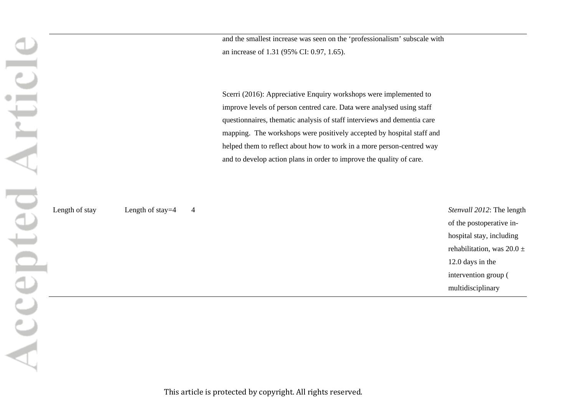and the smallest increase was seen on the 'professionalism' subscale with an increase of 1.31 (95% CI: 0.97, 1.65).

Scerri (2016): Appreciative Enquiry workshops were implemented to improve levels of person centred care. Data were analysed using staff questionnaires, thematic analysis of staff interviews and dementia care mapping. The workshops were positively accepted by hospital staff and helped them to reflect about how to work in a more person-centred way and to develop action plans in order to improve the quality of care.

Accepted Articl

Length of stay Length of stay=4 4 **Stenvall 2012**: The length of the postoperative inhospital stay, including rehabilitation, was  $20.0 \pm$ 12.0 days in the intervention group ( multidisciplinary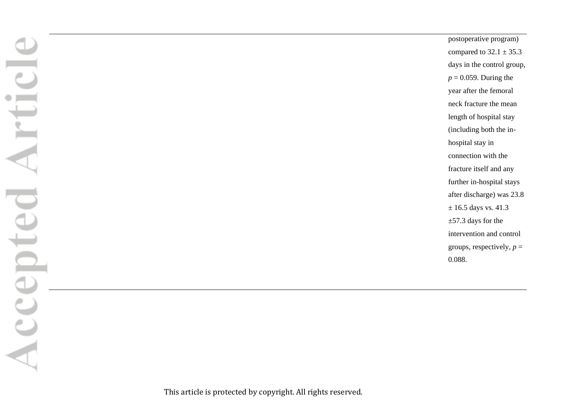postoperative program) compared to  $32.1 \pm 35.3$ days in the control group,  $p = 0.059$ . During the year after the femoral neck fracture the mean length of hospital stay (including both the inhospital stay in connection with the fracture itself and any further in-hospital stays after discharge) was 23.8  $\pm$  16.5 days vs. 41.3 ±57.3 days for the intervention and control groups, respectively,  $p =$ 0.088.

Accepted Articl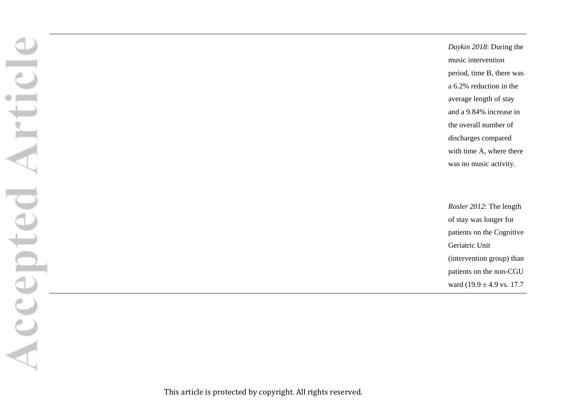*Daykin 2018*: During the music intervention period, time B, there was a 6.2% reduction in the average length of stay and a 9.84% increase in the overall number of discharges compared with time A, where there was no music activity.

*Rosler 2012*: The length of stay was longer for patients on the Cognitive Geriatric Unit (intervention group) than patients on the non-CGU ward  $(19.9 \pm 4.9 \text{ vs. } 17.7)$